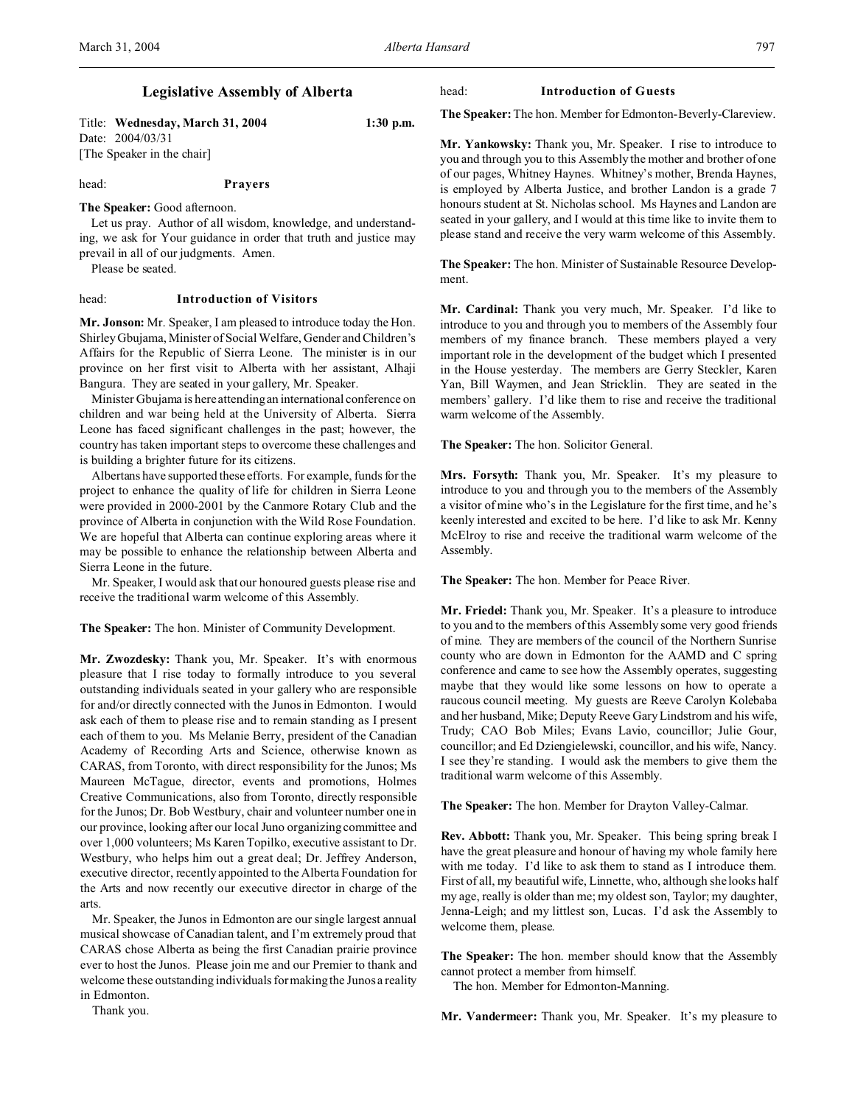# **Legislative Assembly of Alberta**

Title: **Wednesday, March 31, 2004 1:30 p.m.** Date: 2004/03/31 [The Speaker in the chair]

head: **Prayers**

# **The Speaker:** Good afternoon.

Let us pray. Author of all wisdom, knowledge, and understanding, we ask for Your guidance in order that truth and justice may prevail in all of our judgments. Amen.

Please be seated.

# head: **Introduction of Visitors**

**Mr. Jonson:** Mr. Speaker, I am pleased to introduce today the Hon. Shirley Gbujama, Minister of Social Welfare, Gender and Children's Affairs for the Republic of Sierra Leone. The minister is in our province on her first visit to Alberta with her assistant, Alhaji Bangura. They are seated in your gallery, Mr. Speaker.

Minister Gbujama is here attending an international conference on children and war being held at the University of Alberta. Sierra Leone has faced significant challenges in the past; however, the country has taken important steps to overcome these challenges and is building a brighter future for its citizens.

Albertans have supported these efforts. For example, funds for the project to enhance the quality of life for children in Sierra Leone were provided in 2000-2001 by the Canmore Rotary Club and the province of Alberta in conjunction with the Wild Rose Foundation. We are hopeful that Alberta can continue exploring areas where it may be possible to enhance the relationship between Alberta and Sierra Leone in the future.

Mr. Speaker, I would ask that our honoured guests please rise and receive the traditional warm welcome of this Assembly.

**The Speaker:** The hon. Minister of Community Development.

**Mr. Zwozdesky:** Thank you, Mr. Speaker. It's with enormous pleasure that I rise today to formally introduce to you several outstanding individuals seated in your gallery who are responsible for and/or directly connected with the Junos in Edmonton. I would ask each of them to please rise and to remain standing as I present each of them to you. Ms Melanie Berry, president of the Canadian Academy of Recording Arts and Science, otherwise known as CARAS, from Toronto, with direct responsibility for the Junos; Ms Maureen McTague, director, events and promotions, Holmes Creative Communications, also from Toronto, directly responsible for the Junos; Dr. Bob Westbury, chair and volunteer number one in our province, looking after our local Juno organizing committee and over 1,000 volunteers; Ms Karen Topilko, executive assistant to Dr. Westbury, who helps him out a great deal; Dr. Jeffrey Anderson, executive director, recently appointed to the Alberta Foundation for the Arts and now recently our executive director in charge of the arts.

Mr. Speaker, the Junos in Edmonton are our single largest annual musical showcase of Canadian talent, and I'm extremely proud that CARAS chose Alberta as being the first Canadian prairie province ever to host the Junos. Please join me and our Premier to thank and welcome these outstanding individuals for making the Junos a reality in Edmonton.

head: **Introduction of Guests**

**The Speaker:**The hon. Member for Edmonton-Beverly-Clareview.

**Mr. Yankowsky:** Thank you, Mr. Speaker. I rise to introduce to you and through you to this Assembly the mother and brother of one of our pages, Whitney Haynes. Whitney's mother, Brenda Haynes, is employed by Alberta Justice, and brother Landon is a grade 7 honours student at St. Nicholas school. Ms Haynes and Landon are seated in your gallery, and I would at this time like to invite them to please stand and receive the very warm welcome of this Assembly.

**The Speaker:** The hon. Minister of Sustainable Resource Development.

**Mr. Cardinal:** Thank you very much, Mr. Speaker. I'd like to introduce to you and through you to members of the Assembly four members of my finance branch. These members played a very important role in the development of the budget which I presented in the House yesterday. The members are Gerry Steckler, Karen Yan, Bill Waymen, and Jean Stricklin. They are seated in the members' gallery. I'd like them to rise and receive the traditional warm welcome of the Assembly.

**The Speaker:** The hon. Solicitor General.

**Mrs. Forsyth:** Thank you, Mr. Speaker. It's my pleasure to introduce to you and through you to the members of the Assembly a visitor of mine who's in the Legislature for the first time, and he's keenly interested and excited to be here. I'd like to ask Mr. Kenny McElroy to rise and receive the traditional warm welcome of the Assembly.

**The Speaker:** The hon. Member for Peace River.

**Mr. Friedel:** Thank you, Mr. Speaker. It's a pleasure to introduce to you and to the members of this Assembly some very good friends of mine. They are members of the council of the Northern Sunrise county who are down in Edmonton for the AAMD and C spring conference and came to see how the Assembly operates, suggesting maybe that they would like some lessons on how to operate a raucous council meeting. My guests are Reeve Carolyn Kolebaba and her husband, Mike; Deputy Reeve Gary Lindstrom and his wife, Trudy; CAO Bob Miles; Evans Lavio, councillor; Julie Gour, councillor; and Ed Dziengielewski, councillor, and his wife, Nancy. I see they're standing. I would ask the members to give them the traditional warm welcome of this Assembly.

**The Speaker:** The hon. Member for Drayton Valley-Calmar.

**Rev. Abbott:** Thank you, Mr. Speaker. This being spring break I have the great pleasure and honour of having my whole family here with me today. I'd like to ask them to stand as I introduce them. First of all, my beautiful wife, Linnette, who, although she looks half my age, really is older than me; my oldest son, Taylor; my daughter, Jenna-Leigh; and my littlest son, Lucas. I'd ask the Assembly to welcome them, please.

**The Speaker:** The hon. member should know that the Assembly cannot protect a member from himself.

The hon. Member for Edmonton-Manning.

**Mr. Vandermeer:** Thank you, Mr. Speaker. It's my pleasure to

Thank you.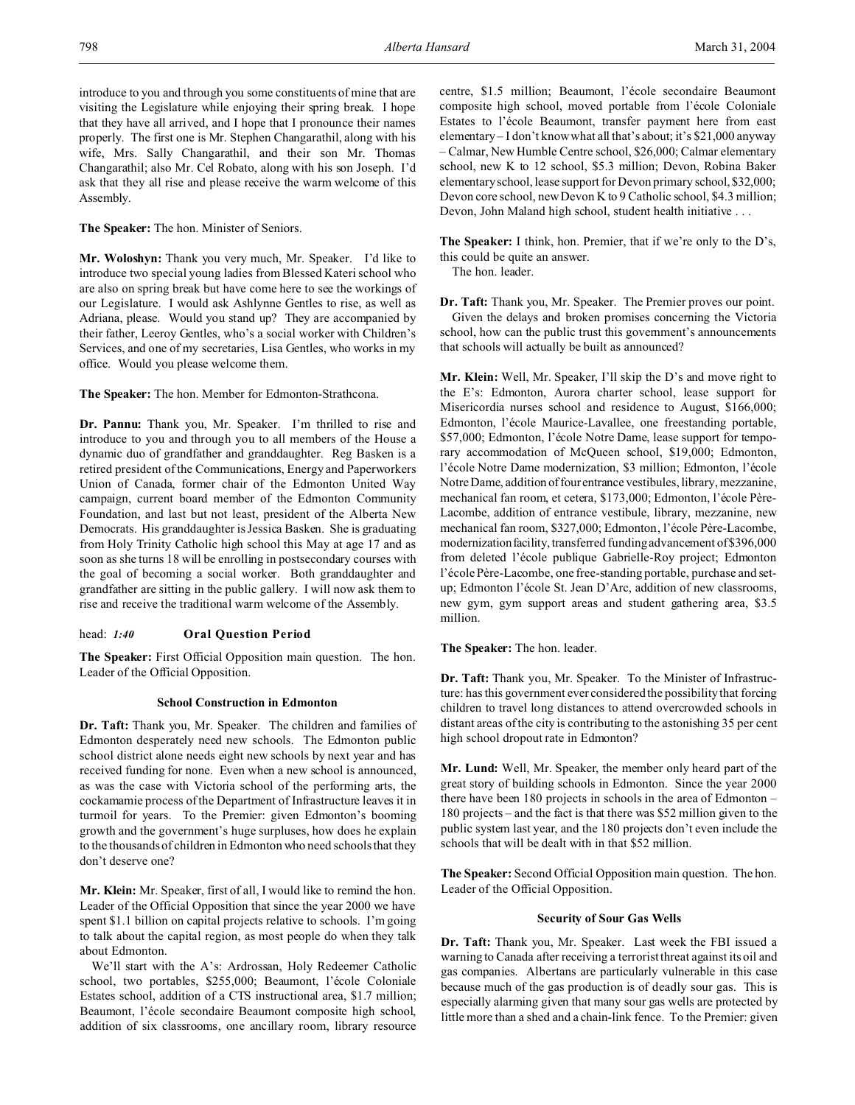introduce to you and through you some constituents of mine that are visiting the Legislature while enjoying their spring break. I hope that they have all arrived, and I hope that I pronounce their names properly. The first one is Mr. Stephen Changarathil, along with his wife, Mrs. Sally Changarathil, and their son Mr. Thomas Changarathil; also Mr. Cel Robato, along with his son Joseph. I'd ask that they all rise and please receive the warm welcome of this Assembly.

**The Speaker:** The hon. Minister of Seniors.

**Mr. Woloshyn:** Thank you very much, Mr. Speaker. I'd like to introduce two special young ladies from Blessed Kateri school who are also on spring break but have come here to see the workings of our Legislature. I would ask Ashlynne Gentles to rise, as well as Adriana, please. Would you stand up? They are accompanied by their father, Leeroy Gentles, who's a social worker with Children's Services, and one of my secretaries, Lisa Gentles, who works in my office. Would you please welcome them.

**The Speaker:** The hon. Member for Edmonton-Strathcona.

**Dr. Pannu:** Thank you, Mr. Speaker. I'm thrilled to rise and introduce to you and through you to all members of the House a dynamic duo of grandfather and granddaughter. Reg Basken is a retired president of the Communications, Energy and Paperworkers Union of Canada, former chair of the Edmonton United Way campaign, current board member of the Edmonton Community Foundation, and last but not least, president of the Alberta New Democrats. His granddaughter is Jessica Basken. She is graduating from Holy Trinity Catholic high school this May at age 17 and as soon as she turns 18 will be enrolling in postsecondary courses with the goal of becoming a social worker. Both granddaughter and grandfather are sitting in the public gallery. I will now ask them to rise and receive the traditional warm welcome of the Assembly.

# head: *1:40* **Oral Question Period**

**The Speaker:** First Official Opposition main question. The hon. Leader of the Official Opposition.

## **School Construction in Edmonton**

**Dr. Taft:** Thank you, Mr. Speaker. The children and families of Edmonton desperately need new schools. The Edmonton public school district alone needs eight new schools by next year and has received funding for none. Even when a new school is announced, as was the case with Victoria school of the performing arts, the cockamamie process of the Department of Infrastructure leaves it in turmoil for years. To the Premier: given Edmonton's booming growth and the government's huge surpluses, how does he explain to the thousands of children in Edmonton who need schools that they don't deserve one?

**Mr. Klein:** Mr. Speaker, first of all, I would like to remind the hon. Leader of the Official Opposition that since the year 2000 we have spent \$1.1 billion on capital projects relative to schools. I'm going to talk about the capital region, as most people do when they talk about Edmonton.

We'll start with the A's: Ardrossan, Holy Redeemer Catholic school, two portables, \$255,000; Beaumont, l'école Coloniale Estates school, addition of a CTS instructional area, \$1.7 million; Beaumont, l'école secondaire Beaumont composite high school, addition of six classrooms, one ancillary room, library resource centre, \$1.5 million; Beaumont, l'école secondaire Beaumont composite high school, moved portable from l'école Coloniale Estates to l'école Beaumont, transfer payment here from east elementary – I don't know what all that's about; it's \$21,000 anyway – Calmar, New Humble Centre school, \$26,000; Calmar elementary school, new K to 12 school, \$5.3 million; Devon, Robina Baker elementary school, lease support for Devon primary school, \$32,000; Devon core school, new Devon K to 9 Catholic school, \$4.3 million; Devon, John Maland high school, student health initiative . . .

**The Speaker:** I think, hon. Premier, that if we're only to the D's, this could be quite an answer.

The hon. leader.

**Dr. Taft:** Thank you, Mr. Speaker. The Premier proves our point. Given the delays and broken promises concerning the Victoria school, how can the public trust this government's announcements that schools will actually be built as announced?

**Mr. Klein:** Well, Mr. Speaker, I'll skip the D's and move right to the E's: Edmonton, Aurora charter school, lease support for Misericordia nurses school and residence to August, \$166,000; Edmonton, l'école Maurice-Lavallee, one freestanding portable, \$57,000; Edmonton, l'école Notre Dame, lease support for temporary accommodation of McQueen school, \$19,000; Edmonton, l'école Notre Dame modernization, \$3 million; Edmonton, l'école Notre Dame, addition offour entrance vestibules, library, mezzanine, mechanical fan room, et cetera, \$173,000; Edmonton, l'école Père-Lacombe, addition of entrance vestibule, library, mezzanine, new mechanical fan room, \$327,000; Edmonton, l'école Père-Lacombe, modernization facility, transferred funding advancement of \$396,000 from deleted l'école publique Gabrielle-Roy project; Edmonton l'école Père-Lacombe, one free-standing portable, purchase and setup; Edmonton l'école St. Jean D'Arc, addition of new classrooms, new gym, gym support areas and student gathering area, \$3.5 million.

**The Speaker:** The hon. leader.

**Dr. Taft:** Thank you, Mr. Speaker. To the Minister of Infrastructure: has this government ever considered the possibility that forcing children to travel long distances to attend overcrowded schools in distant areas of the city is contributing to the astonishing 35 per cent high school dropout rate in Edmonton?

**Mr. Lund:** Well, Mr. Speaker, the member only heard part of the great story of building schools in Edmonton. Since the year 2000 there have been 180 projects in schools in the area of Edmonton – 180 projects – and the fact is that there was \$52 million given to the public system last year, and the 180 projects don't even include the schools that will be dealt with in that \$52 million.

**The Speaker:** Second Official Opposition main question. The hon. Leader of the Official Opposition.

## **Security of Sour Gas Wells**

**Dr. Taft:** Thank you, Mr. Speaker. Last week the FBI issued a warning to Canada after receiving a terrorist threat against its oil and gas companies. Albertans are particularly vulnerable in this case because much of the gas production is of deadly sour gas. This is especially alarming given that many sour gas wells are protected by little more than a shed and a chain-link fence. To the Premier: given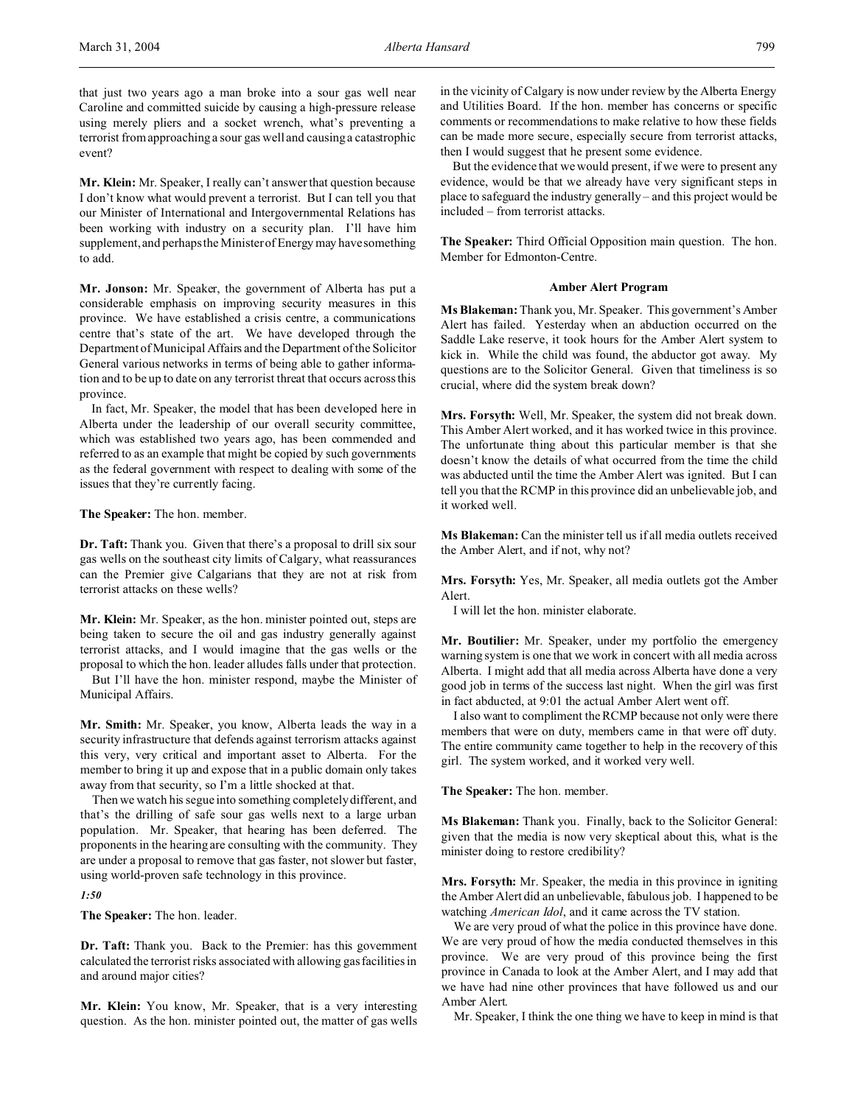**Mr. Klein:** Mr. Speaker, I really can't answer that question because I don't know what would prevent a terrorist. But I can tell you that our Minister of International and Intergovernmental Relations has been working with industry on a security plan. I'll have him supplement, and perhaps the Minister of Energy may have something to add.

**Mr. Jonson:** Mr. Speaker, the government of Alberta has put a considerable emphasis on improving security measures in this province. We have established a crisis centre, a communications centre that's state of the art. We have developed through the Department of Municipal Affairs and the Department of the Solicitor General various networks in terms of being able to gather information and to be up to date on any terrorist threat that occurs across this province.

In fact, Mr. Speaker, the model that has been developed here in Alberta under the leadership of our overall security committee, which was established two years ago, has been commended and referred to as an example that might be copied by such governments as the federal government with respect to dealing with some of the issues that they're currently facing.

**The Speaker:** The hon. member.

**Dr. Taft:** Thank you. Given that there's a proposal to drill six sour gas wells on the southeast city limits of Calgary, what reassurances can the Premier give Calgarians that they are not at risk from terrorist attacks on these wells?

**Mr. Klein:** Mr. Speaker, as the hon. minister pointed out, steps are being taken to secure the oil and gas industry generally against terrorist attacks, and I would imagine that the gas wells or the proposal to which the hon. leader alludes falls under that protection.

But I'll have the hon. minister respond, maybe the Minister of Municipal Affairs.

**Mr. Smith:** Mr. Speaker, you know, Alberta leads the way in a security infrastructure that defends against terrorism attacks against this very, very critical and important asset to Alberta. For the member to bring it up and expose that in a public domain only takes away from that security, so I'm a little shocked at that.

Then we watch his segue into something completely different, and that's the drilling of safe sour gas wells next to a large urban population. Mr. Speaker, that hearing has been deferred. The proponents in the hearing are consulting with the community. They are under a proposal to remove that gas faster, not slower but faster, using world-proven safe technology in this province.

# *1:50*

**The Speaker:** The hon. leader.

**Dr. Taft:** Thank you. Back to the Premier: has this government calculated the terrorist risks associated with allowing gas facilities in and around major cities?

**Mr. Klein:** You know, Mr. Speaker, that is a very interesting question. As the hon. minister pointed out, the matter of gas wells in the vicinity of Calgary is now under review by the Alberta Energy and Utilities Board. If the hon. member has concerns or specific comments or recommendations to make relative to how these fields can be made more secure, especially secure from terrorist attacks, then I would suggest that he present some evidence.

But the evidence that we would present, if we were to present any evidence, would be that we already have very significant steps in place to safeguard the industry generally – and this project would be included – from terrorist attacks.

**The Speaker:** Third Official Opposition main question. The hon. Member for Edmonton-Centre.

#### **Amber Alert Program**

**Ms Blakeman:** Thank you, Mr. Speaker. This government's Amber Alert has failed. Yesterday when an abduction occurred on the Saddle Lake reserve, it took hours for the Amber Alert system to kick in. While the child was found, the abductor got away. My questions are to the Solicitor General. Given that timeliness is so crucial, where did the system break down?

**Mrs. Forsyth:** Well, Mr. Speaker, the system did not break down. This Amber Alert worked, and it has worked twice in this province. The unfortunate thing about this particular member is that she doesn't know the details of what occurred from the time the child was abducted until the time the Amber Alert was ignited. But I can tell you that the RCMP in this province did an unbelievable job, and it worked well.

**Ms Blakeman:** Can the minister tell us if all media outlets received the Amber Alert, and if not, why not?

**Mrs. Forsyth:** Yes, Mr. Speaker, all media outlets got the Amber Alert.

I will let the hon. minister elaborate.

**Mr. Boutilier:** Mr. Speaker, under my portfolio the emergency warning system is one that we work in concert with all media across Alberta. I might add that all media across Alberta have done a very good job in terms of the success last night. When the girl was first in fact abducted, at 9:01 the actual Amber Alert went off.

I also want to compliment the RCMP because not only were there members that were on duty, members came in that were off duty. The entire community came together to help in the recovery of this girl. The system worked, and it worked very well.

**The Speaker:** The hon. member.

**Ms Blakeman:** Thank you. Finally, back to the Solicitor General: given that the media is now very skeptical about this, what is the minister doing to restore credibility?

**Mrs. Forsyth:** Mr. Speaker, the media in this province in igniting the Amber Alert did an unbelievable, fabulous job. I happened to be watching *American Idol*, and it came across the TV station.

We are very proud of what the police in this province have done. We are very proud of how the media conducted themselves in this province. We are very proud of this province being the first province in Canada to look at the Amber Alert, and I may add that we have had nine other provinces that have followed us and our Amber Alert.

Mr. Speaker, I think the one thing we have to keep in mind is that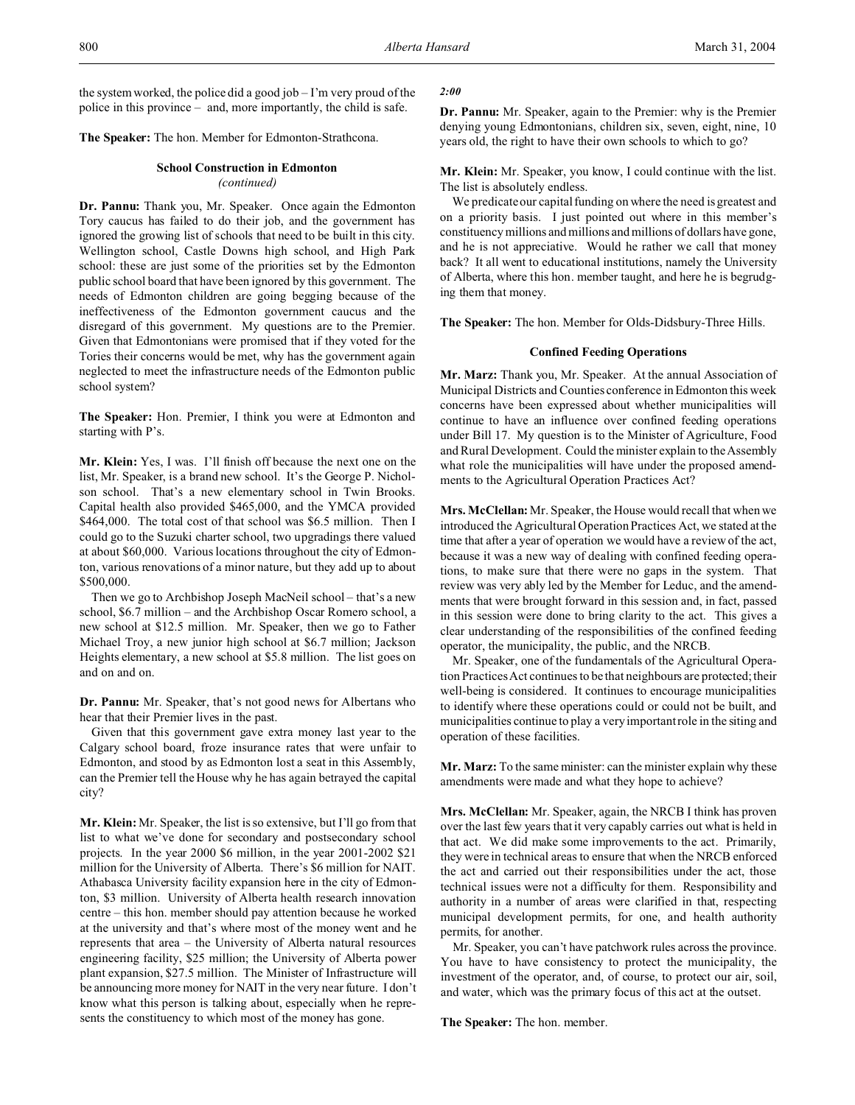the system worked, the police did a good job – I'm very proud of the police in this province – and, more importantly, the child is safe.

**The Speaker:** The hon. Member for Edmonton-Strathcona.

# **School Construction in Edmonton**

### *(continued)*

**Dr. Pannu:** Thank you, Mr. Speaker. Once again the Edmonton Tory caucus has failed to do their job, and the government has ignored the growing list of schools that need to be built in this city. Wellington school, Castle Downs high school, and High Park school: these are just some of the priorities set by the Edmonton public school board that have been ignored by this government. The needs of Edmonton children are going begging because of the ineffectiveness of the Edmonton government caucus and the disregard of this government. My questions are to the Premier. Given that Edmontonians were promised that if they voted for the Tories their concerns would be met, why has the government again neglected to meet the infrastructure needs of the Edmonton public school system?

**The Speaker:** Hon. Premier, I think you were at Edmonton and starting with P's.

**Mr. Klein:** Yes, I was. I'll finish off because the next one on the list, Mr. Speaker, is a brand new school. It's the George P. Nicholson school. That's a new elementary school in Twin Brooks. Capital health also provided \$465,000, and the YMCA provided \$464,000. The total cost of that school was \$6.5 million. Then I could go to the Suzuki charter school, two upgradings there valued at about \$60,000. Various locations throughout the city of Edmonton, various renovations of a minor nature, but they add up to about \$500,000.

Then we go to Archbishop Joseph MacNeil school – that's a new school, \$6.7 million – and the Archbishop Oscar Romero school, a new school at \$12.5 million. Mr. Speaker, then we go to Father Michael Troy, a new junior high school at \$6.7 million; Jackson Heights elementary, a new school at \$5.8 million. The list goes on and on and on.

**Dr. Pannu:** Mr. Speaker, that's not good news for Albertans who hear that their Premier lives in the past.

Given that this government gave extra money last year to the Calgary school board, froze insurance rates that were unfair to Edmonton, and stood by as Edmonton lost a seat in this Assembly, can the Premier tell the House why he has again betrayed the capital city?

**Mr. Klein:** Mr. Speaker, the list is so extensive, but I'll go from that list to what we've done for secondary and postsecondary school projects. In the year 2000 \$6 million, in the year 2001-2002 \$21 million for the University of Alberta. There's \$6 million for NAIT. Athabasca University facility expansion here in the city of Edmonton, \$3 million. University of Alberta health research innovation centre – this hon. member should pay attention because he worked at the university and that's where most of the money went and he represents that area – the University of Alberta natural resources engineering facility, \$25 million; the University of Alberta power plant expansion, \$27.5 million. The Minister of Infrastructure will be announcing more money for NAIT in the very near future. I don't know what this person is talking about, especially when he represents the constituency to which most of the money has gone.

## *2:00*

**Dr. Pannu:** Mr. Speaker, again to the Premier: why is the Premier denying young Edmontonians, children six, seven, eight, nine, 10 years old, the right to have their own schools to which to go?

**Mr. Klein:** Mr. Speaker, you know, I could continue with the list. The list is absolutely endless.

We predicate our capital funding on where the need is greatest and on a priority basis. I just pointed out where in this member's constituency millions and millions and millions of dollars have gone, and he is not appreciative. Would he rather we call that money back? It all went to educational institutions, namely the University of Alberta, where this hon. member taught, and here he is begrudging them that money.

**The Speaker:** The hon. Member for Olds-Didsbury-Three Hills.

#### **Confined Feeding Operations**

**Mr. Marz:** Thank you, Mr. Speaker. At the annual Association of Municipal Districts and Counties conference in Edmonton this week concerns have been expressed about whether municipalities will continue to have an influence over confined feeding operations under Bill 17. My question is to the Minister of Agriculture, Food and Rural Development. Could the minister explain to the Assembly what role the municipalities will have under the proposed amendments to the Agricultural Operation Practices Act?

**Mrs. McClellan:** Mr. Speaker, the House would recall that when we introduced the Agricultural Operation Practices Act, we stated at the time that after a year of operation we would have a review of the act, because it was a new way of dealing with confined feeding operations, to make sure that there were no gaps in the system. That review was very ably led by the Member for Leduc, and the amendments that were brought forward in this session and, in fact, passed in this session were done to bring clarity to the act. This gives a clear understanding of the responsibilities of the confined feeding operator, the municipality, the public, and the NRCB.

Mr. Speaker, one of the fundamentals of the Agricultural Operation Practices Act continues to be that neighbours are protected; their well-being is considered. It continues to encourage municipalities to identify where these operations could or could not be built, and municipalities continue to play a very important role in the siting and operation of these facilities.

**Mr. Marz:** To the same minister: can the minister explain why these amendments were made and what they hope to achieve?

**Mrs. McClellan:** Mr. Speaker, again, the NRCB I think has proven over the last few years that it very capably carries out what is held in that act. We did make some improvements to the act. Primarily, they were in technical areas to ensure that when the NRCB enforced the act and carried out their responsibilities under the act, those technical issues were not a difficulty for them. Responsibility and authority in a number of areas were clarified in that, respecting municipal development permits, for one, and health authority permits, for another.

Mr. Speaker, you can't have patchwork rules across the province. You have to have consistency to protect the municipality, the investment of the operator, and, of course, to protect our air, soil, and water, which was the primary focus of this act at the outset.

**The Speaker:** The hon. member.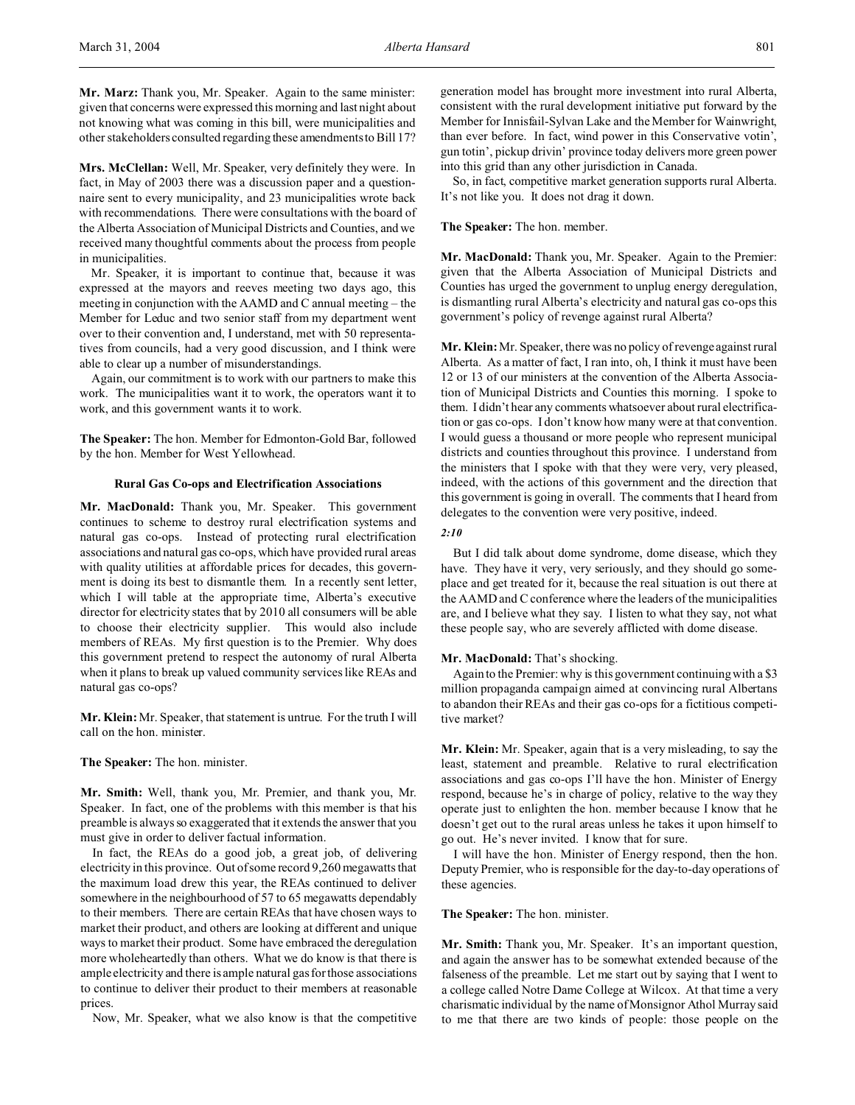**Mrs. McClellan:** Well, Mr. Speaker, very definitely they were. In fact, in May of 2003 there was a discussion paper and a questionnaire sent to every municipality, and 23 municipalities wrote back with recommendations. There were consultations with the board of the Alberta Association of Municipal Districts and Counties, and we received many thoughtful comments about the process from people in municipalities.

Mr. Speaker, it is important to continue that, because it was expressed at the mayors and reeves meeting two days ago, this meeting in conjunction with the AAMD and C annual meeting – the Member for Leduc and two senior staff from my department went over to their convention and, I understand, met with 50 representatives from councils, had a very good discussion, and I think were able to clear up a number of misunderstandings.

Again, our commitment is to work with our partners to make this work. The municipalities want it to work, the operators want it to work, and this government wants it to work.

**The Speaker:** The hon. Member for Edmonton-Gold Bar, followed by the hon. Member for West Yellowhead.

# **Rural Gas Co-ops and Electrification Associations**

**Mr. MacDonald:** Thank you, Mr. Speaker. This government continues to scheme to destroy rural electrification systems and natural gas co-ops. Instead of protecting rural electrification associations and natural gas co-ops, which have provided rural areas with quality utilities at affordable prices for decades, this government is doing its best to dismantle them. In a recently sent letter, which I will table at the appropriate time, Alberta's executive director for electricity states that by 2010 all consumers will be able to choose their electricity supplier. This would also include members of REAs. My first question is to the Premier. Why does this government pretend to respect the autonomy of rural Alberta when it plans to break up valued community services like REAs and natural gas co-ops?

**Mr. Klein:** Mr. Speaker, that statement is untrue. For the truth I will call on the hon. minister.

## **The Speaker:** The hon. minister.

**Mr. Smith:** Well, thank you, Mr. Premier, and thank you, Mr. Speaker. In fact, one of the problems with this member is that his preamble is always so exaggerated that it extends the answer that you must give in order to deliver factual information.

In fact, the REAs do a good job, a great job, of delivering electricity in this province. Out of some record 9,260 megawatts that the maximum load drew this year, the REAs continued to deliver somewhere in the neighbourhood of 57 to 65 megawatts dependably to their members. There are certain REAs that have chosen ways to market their product, and others are looking at different and unique ways to market their product. Some have embraced the deregulation more wholeheartedly than others. What we do know is that there is ample electricity and there is ample natural gas for those associations to continue to deliver their product to their members at reasonable prices.

Now, Mr. Speaker, what we also know is that the competitive

generation model has brought more investment into rural Alberta, consistent with the rural development initiative put forward by the Member for Innisfail-Sylvan Lake and the Member for Wainwright, than ever before. In fact, wind power in this Conservative votin', gun totin', pickup drivin' province today delivers more green power into this grid than any other jurisdiction in Canada.

So, in fact, competitive market generation supports rural Alberta. It's not like you. It does not drag it down.

#### **The Speaker:** The hon. member.

**Mr. MacDonald:** Thank you, Mr. Speaker. Again to the Premier: given that the Alberta Association of Municipal Districts and Counties has urged the government to unplug energy deregulation, is dismantling rural Alberta's electricity and natural gas co-ops this government's policy of revenge against rural Alberta?

**Mr. Klein:** Mr. Speaker, there was no policy of revenge against rural Alberta. As a matter of fact, I ran into, oh, I think it must have been 12 or 13 of our ministers at the convention of the Alberta Association of Municipal Districts and Counties this morning. I spoke to them. I didn't hear any comments whatsoever about rural electrification or gas co-ops. I don't know how many were at that convention. I would guess a thousand or more people who represent municipal districts and counties throughout this province. I understand from the ministers that I spoke with that they were very, very pleased, indeed, with the actions of this government and the direction that this government is going in overall. The comments that I heard from delegates to the convention were very positive, indeed.

#### *2:10*

But I did talk about dome syndrome, dome disease, which they have. They have it very, very seriously, and they should go someplace and get treated for it, because the real situation is out there at the AAMD and C conference where the leaders of the municipalities are, and I believe what they say. I listen to what they say, not what these people say, who are severely afflicted with dome disease.

### **Mr. MacDonald:** That's shocking.

Again to the Premier: why is this government continuing with a \$3 million propaganda campaign aimed at convincing rural Albertans to abandon their REAs and their gas co-ops for a fictitious competitive market?

**Mr. Klein:** Mr. Speaker, again that is a very misleading, to say the least, statement and preamble. Relative to rural electrification associations and gas co-ops I'll have the hon. Minister of Energy respond, because he's in charge of policy, relative to the way they operate just to enlighten the hon. member because I know that he doesn't get out to the rural areas unless he takes it upon himself to go out. He's never invited. I know that for sure.

I will have the hon. Minister of Energy respond, then the hon. Deputy Premier, who is responsible for the day-to-day operations of these agencies.

## **The Speaker:** The hon. minister.

**Mr. Smith:** Thank you, Mr. Speaker. It's an important question, and again the answer has to be somewhat extended because of the falseness of the preamble. Let me start out by saying that I went to a college called Notre Dame College at Wilcox. At that time a very charismatic individual by the name of Monsignor Athol Murray said to me that there are two kinds of people: those people on the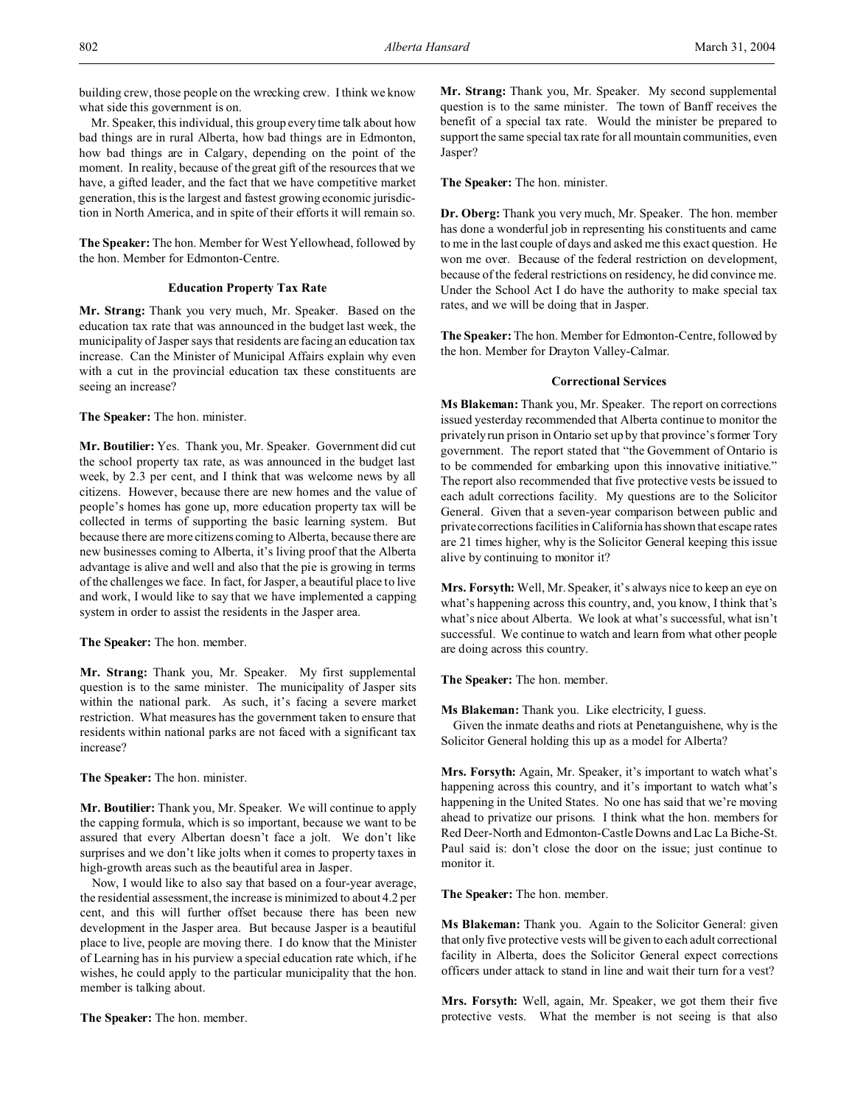building crew, those people on the wrecking crew. I think we know what side this government is on.

Mr. Speaker, this individual, this group every time talk about how bad things are in rural Alberta, how bad things are in Edmonton, how bad things are in Calgary, depending on the point of the moment. In reality, because of the great gift of the resources that we have, a gifted leader, and the fact that we have competitive market generation, this is the largest and fastest growing economic jurisdiction in North America, and in spite of their efforts it will remain so.

**The Speaker:** The hon. Member for West Yellowhead, followed by the hon. Member for Edmonton-Centre.

## **Education Property Tax Rate**

**Mr. Strang:** Thank you very much, Mr. Speaker. Based on the education tax rate that was announced in the budget last week, the municipality of Jasper says that residents are facing an education tax increase. Can the Minister of Municipal Affairs explain why even with a cut in the provincial education tax these constituents are seeing an increase?

**The Speaker:** The hon. minister.

**Mr. Boutilier:** Yes. Thank you, Mr. Speaker. Government did cut the school property tax rate, as was announced in the budget last week, by 2.3 per cent, and I think that was welcome news by all citizens. However, because there are new homes and the value of people's homes has gone up, more education property tax will be collected in terms of supporting the basic learning system. But because there are more citizens coming to Alberta, because there are new businesses coming to Alberta, it's living proof that the Alberta advantage is alive and well and also that the pie is growing in terms of the challenges we face. In fact, for Jasper, a beautiful place to live and work, I would like to say that we have implemented a capping system in order to assist the residents in the Jasper area.

**The Speaker:** The hon. member.

**Mr. Strang:** Thank you, Mr. Speaker. My first supplemental question is to the same minister. The municipality of Jasper sits within the national park. As such, it's facing a severe market restriction. What measures has the government taken to ensure that residents within national parks are not faced with a significant tax increase?

**The Speaker:** The hon. minister.

**Mr. Boutilier:** Thank you, Mr. Speaker. We will continue to apply the capping formula, which is so important, because we want to be assured that every Albertan doesn't face a jolt. We don't like surprises and we don't like jolts when it comes to property taxes in high-growth areas such as the beautiful area in Jasper.

Now, I would like to also say that based on a four-year average, the residential assessment, the increase is minimized to about 4.2 per cent, and this will further offset because there has been new development in the Jasper area. But because Jasper is a beautiful place to live, people are moving there. I do know that the Minister of Learning has in his purview a special education rate which, if he wishes, he could apply to the particular municipality that the hon. member is talking about.

**The Speaker:** The hon. member.

**Mr. Strang:** Thank you, Mr. Speaker. My second supplemental question is to the same minister. The town of Banff receives the benefit of a special tax rate. Would the minister be prepared to support the same special tax rate for all mountain communities, even Jasper?

**The Speaker:** The hon. minister.

**Dr. Oberg:** Thank you very much, Mr. Speaker. The hon. member has done a wonderful job in representing his constituents and came to me in the last couple of days and asked me this exact question. He won me over. Because of the federal restriction on development, because of the federal restrictions on residency, he did convince me. Under the School Act I do have the authority to make special tax rates, and we will be doing that in Jasper.

**The Speaker:** The hon. Member for Edmonton-Centre, followed by the hon. Member for Drayton Valley-Calmar.

## **Correctional Services**

**Ms Blakeman:** Thank you, Mr. Speaker. The report on corrections issued yesterday recommended that Alberta continue to monitor the privately run prison in Ontario set up by that province's former Tory government. The report stated that "the Government of Ontario is to be commended for embarking upon this innovative initiative." The report also recommended that five protective vests be issued to each adult corrections facility. My questions are to the Solicitor General. Given that a seven-year comparison between public and private corrections facilities in California has shown that escape rates are 21 times higher, why is the Solicitor General keeping this issue alive by continuing to monitor it?

**Mrs. Forsyth:** Well, Mr. Speaker, it's always nice to keep an eye on what's happening across this country, and, you know, I think that's what's nice about Alberta. We look at what's successful, what isn't successful. We continue to watch and learn from what other people are doing across this country.

**The Speaker:** The hon. member.

**Ms Blakeman:** Thank you. Like electricity, I guess.

Given the inmate deaths and riots at Penetanguishene, why is the Solicitor General holding this up as a model for Alberta?

**Mrs. Forsyth:** Again, Mr. Speaker, it's important to watch what's happening across this country, and it's important to watch what's happening in the United States. No one has said that we're moving ahead to privatize our prisons. I think what the hon. members for Red Deer-North and Edmonton-Castle Downs and Lac La Biche-St. Paul said is: don't close the door on the issue; just continue to monitor it.

**The Speaker:** The hon. member.

**Ms Blakeman:** Thank you. Again to the Solicitor General: given that only five protective vests will be given to each adult correctional facility in Alberta, does the Solicitor General expect corrections officers under attack to stand in line and wait their turn for a vest?

**Mrs. Forsyth:** Well, again, Mr. Speaker, we got them their five protective vests. What the member is not seeing is that also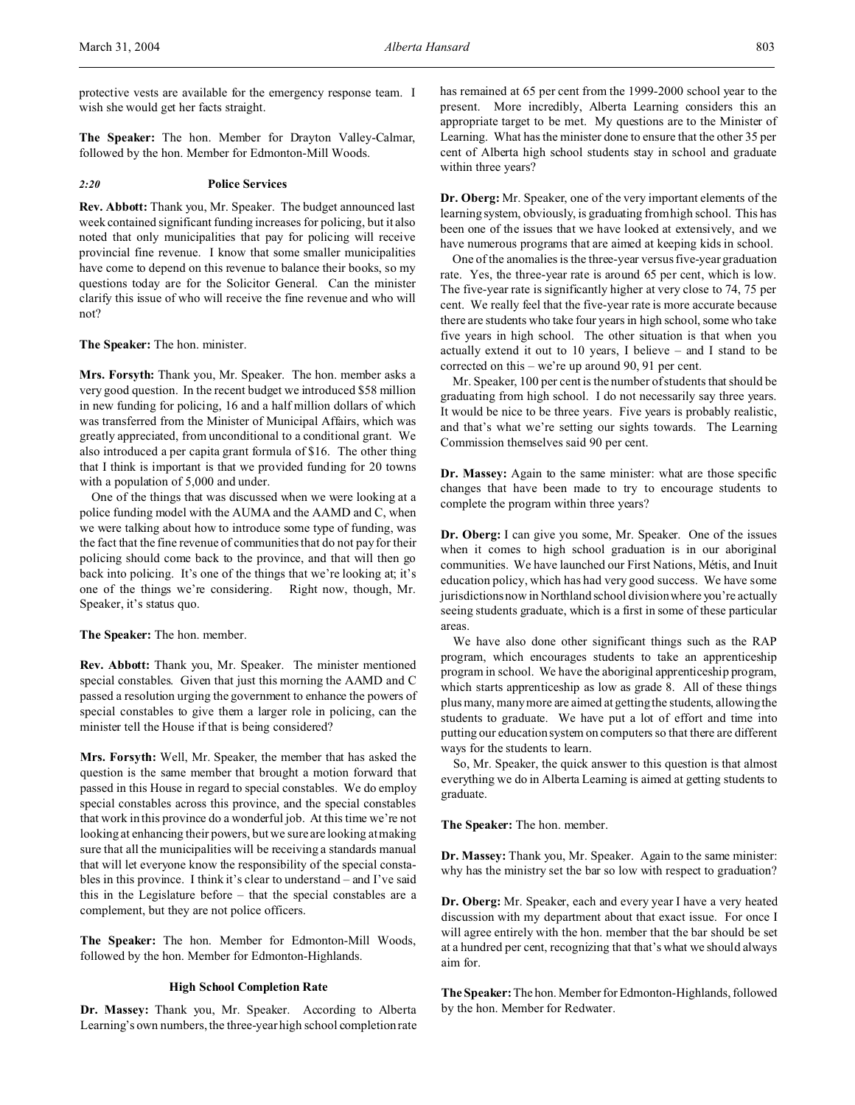protective vests are available for the emergency response team. I wish she would get her facts straight.

**The Speaker:** The hon. Member for Drayton Valley-Calmar, followed by the hon. Member for Edmonton-Mill Woods.

#### *2:20* **Police Services**

**Rev. Abbott:** Thank you, Mr. Speaker. The budget announced last week contained significant funding increases for policing, but it also noted that only municipalities that pay for policing will receive provincial fine revenue. I know that some smaller municipalities have come to depend on this revenue to balance their books, so my questions today are for the Solicitor General. Can the minister clarify this issue of who will receive the fine revenue and who will not?

#### **The Speaker:** The hon. minister.

**Mrs. Forsyth:** Thank you, Mr. Speaker. The hon. member asks a very good question. In the recent budget we introduced \$58 million in new funding for policing, 16 and a half million dollars of which was transferred from the Minister of Municipal Affairs, which was greatly appreciated, from unconditional to a conditional grant. We also introduced a per capita grant formula of \$16. The other thing that I think is important is that we provided funding for 20 towns with a population of 5,000 and under.

One of the things that was discussed when we were looking at a police funding model with the AUMA and the AAMD and C, when we were talking about how to introduce some type of funding, was the fact that the fine revenue of communities that do not pay for their policing should come back to the province, and that will then go back into policing. It's one of the things that we're looking at; it's one of the things we're considering. Right now, though, Mr. Speaker, it's status quo.

## **The Speaker:** The hon. member.

**Rev. Abbott:** Thank you, Mr. Speaker. The minister mentioned special constables. Given that just this morning the AAMD and C passed a resolution urging the government to enhance the powers of special constables to give them a larger role in policing, can the minister tell the House if that is being considered?

**Mrs. Forsyth:** Well, Mr. Speaker, the member that has asked the question is the same member that brought a motion forward that passed in this House in regard to special constables. We do employ special constables across this province, and the special constables that work in this province do a wonderful job. At this time we're not looking at enhancing their powers, but we sure are looking at making sure that all the municipalities will be receiving a standards manual that will let everyone know the responsibility of the special constables in this province. I think it's clear to understand – and I've said this in the Legislature before – that the special constables are a complement, but they are not police officers.

**The Speaker:** The hon. Member for Edmonton-Mill Woods, followed by the hon. Member for Edmonton-Highlands.

# **High School Completion Rate**

**Dr. Massey:** Thank you, Mr. Speaker. According to Alberta Learning's own numbers, the three-year high school completion rate has remained at 65 per cent from the 1999-2000 school year to the present. More incredibly, Alberta Learning considers this an appropriate target to be met. My questions are to the Minister of Learning. What has the minister done to ensure that the other 35 per cent of Alberta high school students stay in school and graduate within three years?

**Dr. Oberg:** Mr. Speaker, one of the very important elements of the learning system, obviously, is graduating from high school. This has been one of the issues that we have looked at extensively, and we have numerous programs that are aimed at keeping kids in school.

One of the anomalies is the three-year versus five-year graduation rate. Yes, the three-year rate is around 65 per cent, which is low. The five-year rate is significantly higher at very close to 74, 75 per cent. We really feel that the five-year rate is more accurate because there are students who take four years in high school, some who take five years in high school. The other situation is that when you actually extend it out to 10 years, I believe – and I stand to be corrected on this – we're up around 90, 91 per cent.

Mr. Speaker, 100 per cent is the number of students that should be graduating from high school. I do not necessarily say three years. It would be nice to be three years. Five years is probably realistic, and that's what we're setting our sights towards. The Learning Commission themselves said 90 per cent.

**Dr. Massey:** Again to the same minister: what are those specific changes that have been made to try to encourage students to complete the program within three years?

**Dr. Oberg:** I can give you some, Mr. Speaker. One of the issues when it comes to high school graduation is in our aboriginal communities. We have launched our First Nations, Métis, and Inuit education policy, which has had very good success. We have some jurisdictions now in Northland school division where you're actually seeing students graduate, which is a first in some of these particular areas.

We have also done other significant things such as the RAP program, which encourages students to take an apprenticeship program in school. We have the aboriginal apprenticeship program, which starts apprenticeship as low as grade 8. All of these things plus many, many more are aimed at getting the students, allowing the students to graduate. We have put a lot of effort and time into putting our education system on computers so that there are different ways for the students to learn.

So, Mr. Speaker, the quick answer to this question is that almost everything we do in Alberta Learning is aimed at getting students to graduate.

**The Speaker:** The hon. member.

**Dr. Massey:** Thank you, Mr. Speaker. Again to the same minister: why has the ministry set the bar so low with respect to graduation?

**Dr. Oberg:** Mr. Speaker, each and every year I have a very heated discussion with my department about that exact issue. For once I will agree entirely with the hon. member that the bar should be set at a hundred per cent, recognizing that that's what we should always aim for.

**The Speaker:** The hon. Member for Edmonton-Highlands, followed by the hon. Member for Redwater.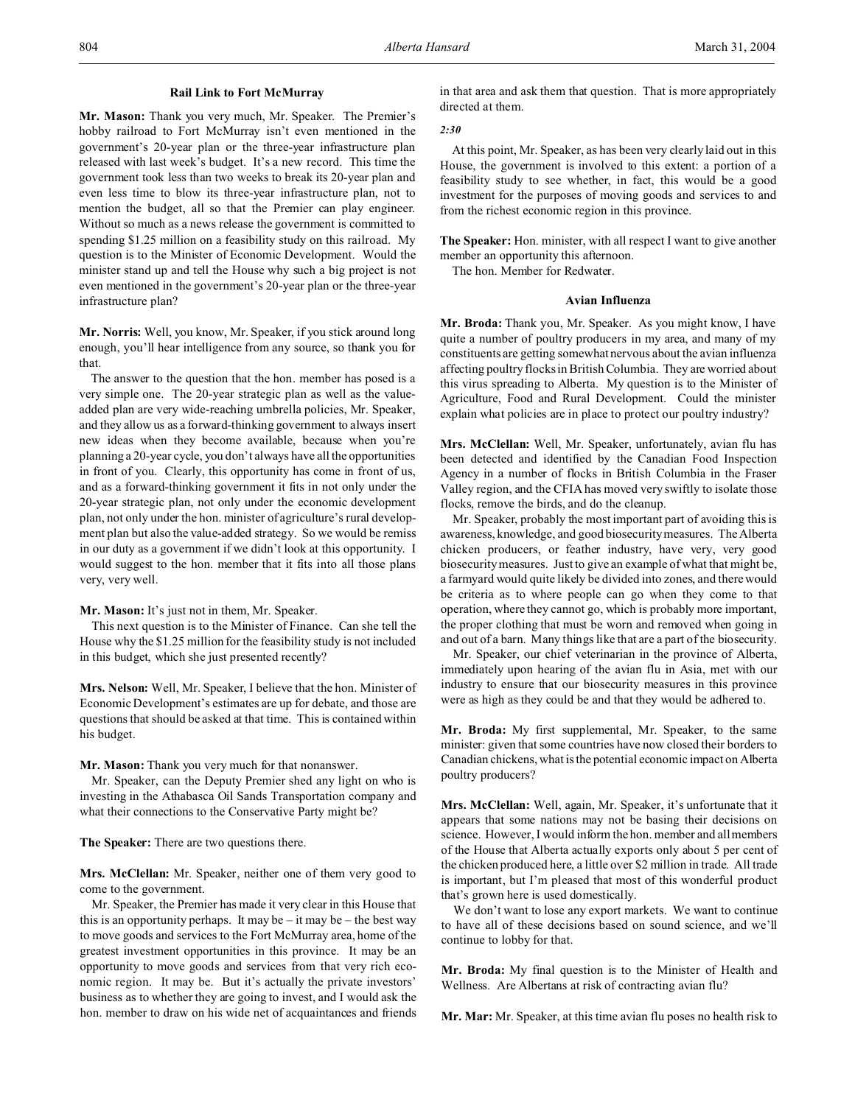## **Rail Link to Fort McMurray**

**Mr. Mason:** Thank you very much, Mr. Speaker. The Premier's hobby railroad to Fort McMurray isn't even mentioned in the government's 20-year plan or the three-year infrastructure plan released with last week's budget. It's a new record. This time the government took less than two weeks to break its 20-year plan and even less time to blow its three-year infrastructure plan, not to mention the budget, all so that the Premier can play engineer. Without so much as a news release the government is committed to spending \$1.25 million on a feasibility study on this railroad. My question is to the Minister of Economic Development. Would the minister stand up and tell the House why such a big project is not even mentioned in the government's 20-year plan or the three-year infrastructure plan?

**Mr. Norris:** Well, you know, Mr. Speaker, if you stick around long enough, you'll hear intelligence from any source, so thank you for that.

The answer to the question that the hon. member has posed is a very simple one. The 20-year strategic plan as well as the valueadded plan are very wide-reaching umbrella policies, Mr. Speaker, and they allow us as a forward-thinking government to always insert new ideas when they become available, because when you're planning a 20-year cycle, you don't always have all the opportunities in front of you. Clearly, this opportunity has come in front of us, and as a forward-thinking government it fits in not only under the 20-year strategic plan, not only under the economic development plan, not only under the hon. minister of agriculture's rural development plan but also the value-added strategy. So we would be remiss in our duty as a government if we didn't look at this opportunity. I would suggest to the hon. member that it fits into all those plans very, very well.

**Mr. Mason:** It's just not in them, Mr. Speaker.

This next question is to the Minister of Finance. Can she tell the House why the \$1.25 million for the feasibility study is not included in this budget, which she just presented recently?

**Mrs. Nelson:** Well, Mr. Speaker, I believe that the hon. Minister of Economic Development's estimates are up for debate, and those are questions that should be asked at that time. This is contained within his budget.

**Mr. Mason:** Thank you very much for that nonanswer.

Mr. Speaker, can the Deputy Premier shed any light on who is investing in the Athabasca Oil Sands Transportation company and what their connections to the Conservative Party might be?

**The Speaker:** There are two questions there.

**Mrs. McClellan:** Mr. Speaker, neither one of them very good to come to the government.

Mr. Speaker, the Premier has made it very clear in this House that this is an opportunity perhaps. It may be  $-$  it may be  $-$  the best way to move goods and services to the Fort McMurray area, home of the greatest investment opportunities in this province. It may be an opportunity to move goods and services from that very rich economic region. It may be. But it's actually the private investors' business as to whether they are going to invest, and I would ask the hon. member to draw on his wide net of acquaintances and friends in that area and ask them that question. That is more appropriately directed at them.

*2:30*

At this point, Mr. Speaker, as has been very clearly laid out in this House, the government is involved to this extent: a portion of a feasibility study to see whether, in fact, this would be a good investment for the purposes of moving goods and services to and from the richest economic region in this province.

**The Speaker:** Hon. minister, with all respect I want to give another member an opportunity this afternoon.

The hon. Member for Redwater.

#### **Avian Influenza**

**Mr. Broda:** Thank you, Mr. Speaker. As you might know, I have quite a number of poultry producers in my area, and many of my constituents are getting somewhat nervous about the avian influenza affecting poultry flocks in British Columbia. They are worried about this virus spreading to Alberta. My question is to the Minister of Agriculture, Food and Rural Development. Could the minister explain what policies are in place to protect our poultry industry?

**Mrs. McClellan:** Well, Mr. Speaker, unfortunately, avian flu has been detected and identified by the Canadian Food Inspection Agency in a number of flocks in British Columbia in the Fraser Valley region, and the CFIA has moved very swiftly to isolate those flocks, remove the birds, and do the cleanup.

Mr. Speaker, probably the most important part of avoiding this is awareness, knowledge, and good biosecurity measures. The Alberta chicken producers, or feather industry, have very, very good biosecurity measures. Just to give an example of what that might be, a farmyard would quite likely be divided into zones, and there would be criteria as to where people can go when they come to that operation, where they cannot go, which is probably more important, the proper clothing that must be worn and removed when going in and out of a barn. Many things like that are a part of the biosecurity.

Mr. Speaker, our chief veterinarian in the province of Alberta, immediately upon hearing of the avian flu in Asia, met with our industry to ensure that our biosecurity measures in this province were as high as they could be and that they would be adhered to.

**Mr. Broda:** My first supplemental, Mr. Speaker, to the same minister: given that some countries have now closed their borders to Canadian chickens, what is the potential economic impact on Alberta poultry producers?

**Mrs. McClellan:** Well, again, Mr. Speaker, it's unfortunate that it appears that some nations may not be basing their decisions on science. However, I would inform the hon. member and all members of the House that Alberta actually exports only about 5 per cent of the chicken produced here, a little over \$2 million in trade. All trade is important, but I'm pleased that most of this wonderful product that's grown here is used domestically.

We don't want to lose any export markets. We want to continue to have all of these decisions based on sound science, and we'll continue to lobby for that.

**Mr. Broda:** My final question is to the Minister of Health and Wellness. Are Albertans at risk of contracting avian flu?

**Mr. Mar:** Mr. Speaker, at this time avian flu poses no health risk to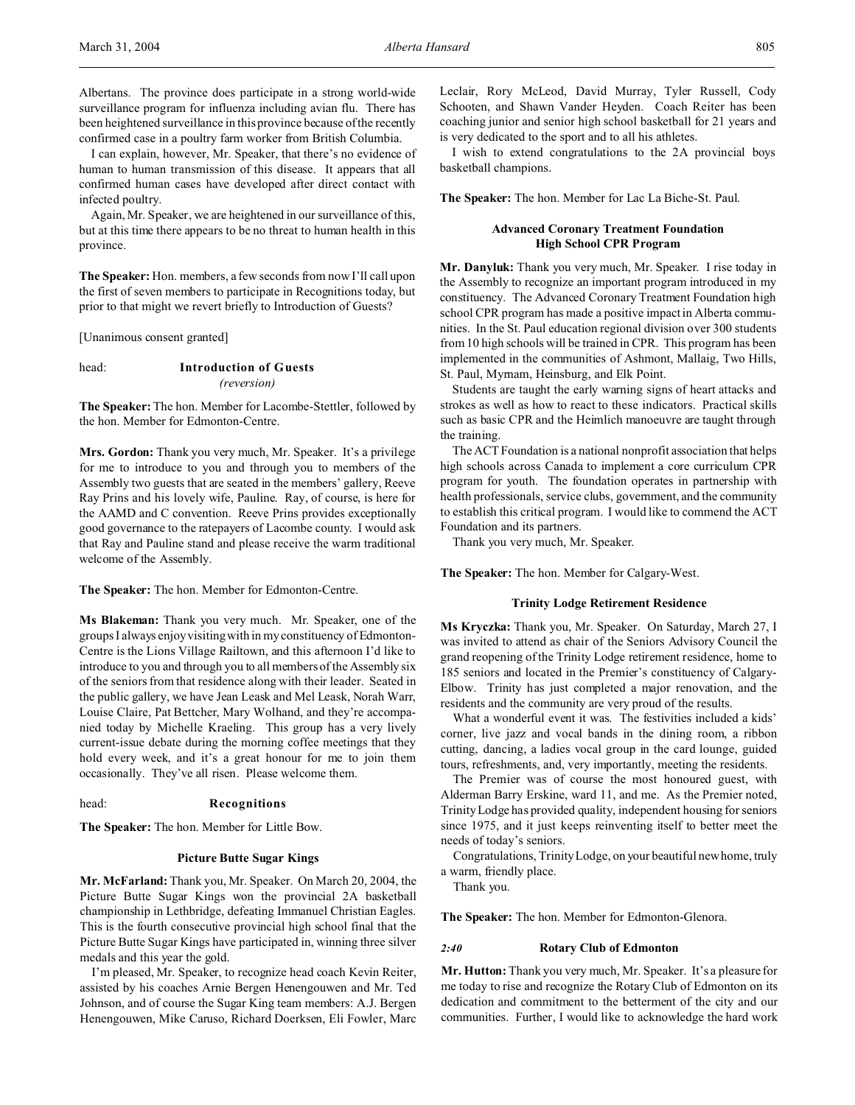I can explain, however, Mr. Speaker, that there's no evidence of human to human transmission of this disease. It appears that all confirmed human cases have developed after direct contact with infected poultry.

Again, Mr. Speaker, we are heightened in our surveillance of this, but at this time there appears to be no threat to human health in this province.

**The Speaker:** Hon. members, a few seconds from now I'll call upon the first of seven members to participate in Recognitions today, but prior to that might we revert briefly to Introduction of Guests?

[Unanimous consent granted]

# head: **Introduction of Guests** *(reversion)*

**The Speaker:** The hon. Member for Lacombe-Stettler, followed by the hon. Member for Edmonton-Centre.

**Mrs. Gordon:** Thank you very much, Mr. Speaker. It's a privilege for me to introduce to you and through you to members of the Assembly two guests that are seated in the members' gallery, Reeve Ray Prins and his lovely wife, Pauline. Ray, of course, is here for the AAMD and C convention. Reeve Prins provides exceptionally good governance to the ratepayers of Lacombe county. I would ask that Ray and Pauline stand and please receive the warm traditional welcome of the Assembly.

**The Speaker:** The hon. Member for Edmonton-Centre.

**Ms Blakeman:** Thank you very much. Mr. Speaker, one of the groups I always enjoy visiting with in my constituency of Edmonton-Centre is the Lions Village Railtown, and this afternoon I'd like to introduce to you and through you to all members of the Assembly six of the seniors from that residence along with their leader. Seated in the public gallery, we have Jean Leask and Mel Leask, Norah Warr, Louise Claire, Pat Bettcher, Mary Wolhand, and they're accompanied today by Michelle Kraeling. This group has a very lively current-issue debate during the morning coffee meetings that they hold every week, and it's a great honour for me to join them occasionally. They've all risen. Please welcome them.

## head: **Recognitions**

**The Speaker:** The hon. Member for Little Bow.

# **Picture Butte Sugar Kings**

**Mr. McFarland:** Thank you, Mr. Speaker. On March 20, 2004, the Picture Butte Sugar Kings won the provincial 2A basketball championship in Lethbridge, defeating Immanuel Christian Eagles. This is the fourth consecutive provincial high school final that the Picture Butte Sugar Kings have participated in, winning three silver medals and this year the gold.

I'm pleased, Mr. Speaker, to recognize head coach Kevin Reiter, assisted by his coaches Arnie Bergen Henengouwen and Mr. Ted Johnson, and of course the Sugar King team members: A.J. Bergen Henengouwen, Mike Caruso, Richard Doerksen, Eli Fowler, Marc Leclair, Rory McLeod, David Murray, Tyler Russell, Cody Schooten, and Shawn Vander Heyden. Coach Reiter has been coaching junior and senior high school basketball for 21 years and is very dedicated to the sport and to all his athletes.

I wish to extend congratulations to the 2A provincial boys basketball champions.

**The Speaker:** The hon. Member for Lac La Biche-St. Paul.

# **Advanced Coronary Treatment Foundation High School CPR Program**

**Mr. Danyluk:** Thank you very much, Mr. Speaker. I rise today in the Assembly to recognize an important program introduced in my constituency. The Advanced Coronary Treatment Foundation high school CPR program has made a positive impact in Alberta communities. In the St. Paul education regional division over 300 students from 10 high schools will be trained in CPR. This program has been implemented in the communities of Ashmont, Mallaig, Two Hills, St. Paul, Myrnam, Heinsburg, and Elk Point.

Students are taught the early warning signs of heart attacks and strokes as well as how to react to these indicators. Practical skills such as basic CPR and the Heimlich manoeuvre are taught through the training.

The ACT Foundation is a national nonprofit association that helps high schools across Canada to implement a core curriculum CPR program for youth. The foundation operates in partnership with health professionals, service clubs, government, and the community to establish this critical program. I would like to commend the ACT Foundation and its partners.

Thank you very much, Mr. Speaker.

**The Speaker:** The hon. Member for Calgary-West.

## **Trinity Lodge Retirement Residence**

**Ms Kryczka:** Thank you, Mr. Speaker. On Saturday, March 27, I was invited to attend as chair of the Seniors Advisory Council the grand reopening of the Trinity Lodge retirement residence, home to 185 seniors and located in the Premier's constituency of Calgary-Elbow. Trinity has just completed a major renovation, and the residents and the community are very proud of the results.

What a wonderful event it was. The festivities included a kids' corner, live jazz and vocal bands in the dining room, a ribbon cutting, dancing, a ladies vocal group in the card lounge, guided tours, refreshments, and, very importantly, meeting the residents.

The Premier was of course the most honoured guest, with Alderman Barry Erskine, ward 11, and me. As the Premier noted, Trinity Lodge has provided quality, independent housing for seniors since 1975, and it just keeps reinventing itself to better meet the needs of today's seniors.

Congratulations, Trinity Lodge, on your beautiful new home, truly a warm, friendly place.

Thank you.

**The Speaker:** The hon. Member for Edmonton-Glenora.

#### *2:40* **Rotary Club of Edmonton**

**Mr. Hutton:** Thank you very much, Mr. Speaker. It's a pleasure for me today to rise and recognize the Rotary Club of Edmonton on its dedication and commitment to the betterment of the city and our communities. Further, I would like to acknowledge the hard work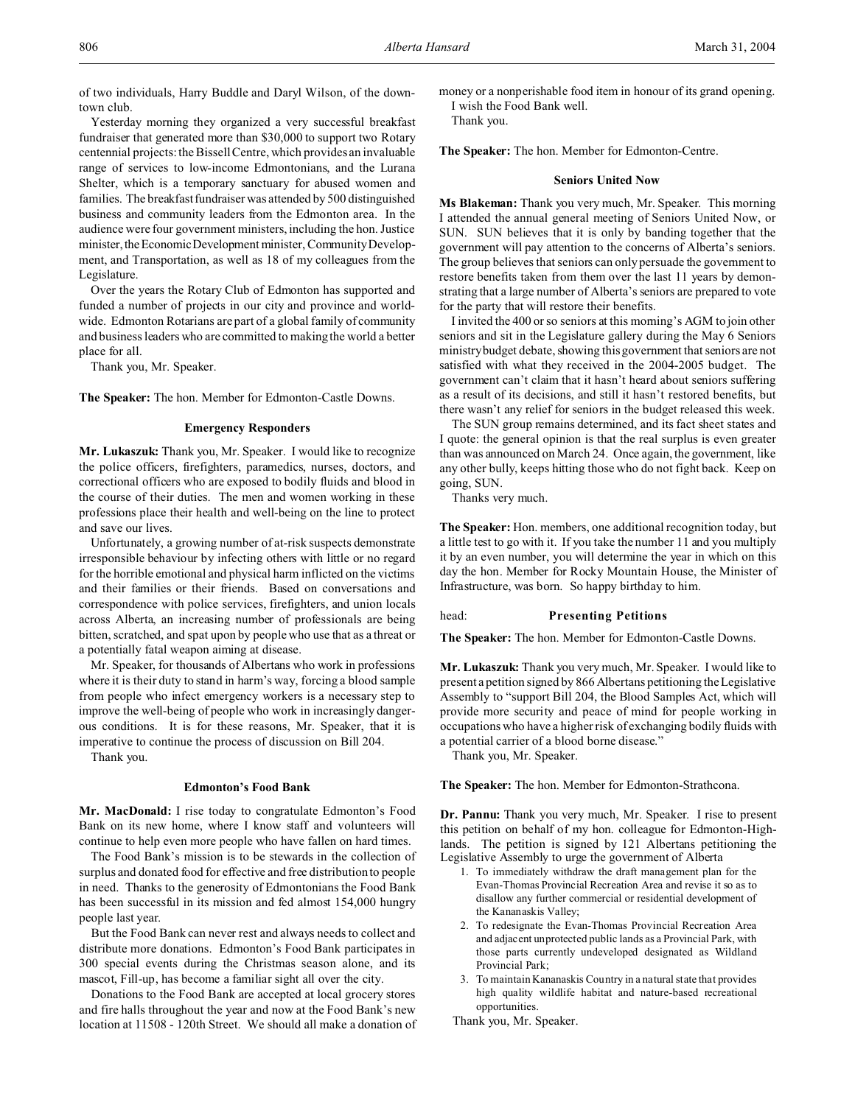of two individuals, Harry Buddle and Daryl Wilson, of the downtown club.

Yesterday morning they organized a very successful breakfast fundraiser that generated more than \$30,000 to support two Rotary centennial projects: the Bissell Centre, which provides an invaluable range of services to low-income Edmontonians, and the Lurana Shelter, which is a temporary sanctuary for abused women and families. The breakfast fundraiser was attended by 500 distinguished business and community leaders from the Edmonton area. In the audience were four government ministers, including the hon. Justice minister, the Economic Development minister, Community Development, and Transportation, as well as 18 of my colleagues from the Legislature.

Over the years the Rotary Club of Edmonton has supported and funded a number of projects in our city and province and worldwide. Edmonton Rotarians are part of a global family of community and business leaders who are committed to making the world a better place for all.

Thank you, Mr. Speaker.

**The Speaker:** The hon. Member for Edmonton-Castle Downs.

#### **Emergency Responders**

**Mr. Lukaszuk:** Thank you, Mr. Speaker. I would like to recognize the police officers, firefighters, paramedics, nurses, doctors, and correctional officers who are exposed to bodily fluids and blood in the course of their duties. The men and women working in these professions place their health and well-being on the line to protect and save our lives.

Unfortunately, a growing number of at-risk suspects demonstrate irresponsible behaviour by infecting others with little or no regard for the horrible emotional and physical harm inflicted on the victims and their families or their friends. Based on conversations and correspondence with police services, firefighters, and union locals across Alberta, an increasing number of professionals are being bitten, scratched, and spat upon by people who use that as a threat or a potentially fatal weapon aiming at disease.

Mr. Speaker, for thousands of Albertans who work in professions where it is their duty to stand in harm's way, forcing a blood sample from people who infect emergency workers is a necessary step to improve the well-being of people who work in increasingly dangerous conditions. It is for these reasons, Mr. Speaker, that it is imperative to continue the process of discussion on Bill 204.

Thank you.

#### **Edmonton's Food Bank**

**Mr. MacDonald:** I rise today to congratulate Edmonton's Food Bank on its new home, where I know staff and volunteers will continue to help even more people who have fallen on hard times.

The Food Bank's mission is to be stewards in the collection of surplus and donated food for effective and free distribution to people in need. Thanks to the generosity of Edmontonians the Food Bank has been successful in its mission and fed almost 154,000 hungry people last year.

But the Food Bank can never rest and always needs to collect and distribute more donations. Edmonton's Food Bank participates in 300 special events during the Christmas season alone, and its mascot, Fill-up, has become a familiar sight all over the city.

Donations to the Food Bank are accepted at local grocery stores and fire halls throughout the year and now at the Food Bank's new location at 11508 - 120th Street. We should all make a donation of money or a nonperishable food item in honour of its grand opening. I wish the Food Bank well.

Thank you.

**The Speaker:** The hon. Member for Edmonton-Centre.

#### **Seniors United Now**

**Ms Blakeman:** Thank you very much, Mr. Speaker. This morning I attended the annual general meeting of Seniors United Now, or SUN. SUN believes that it is only by banding together that the government will pay attention to the concerns of Alberta's seniors. The group believes that seniors can only persuade the government to restore benefits taken from them over the last 11 years by demonstrating that a large number of Alberta's seniors are prepared to vote for the party that will restore their benefits.

I invited the 400 or so seniors at this morning's AGM to join other seniors and sit in the Legislature gallery during the May 6 Seniors ministry budget debate, showing this government that seniors are not satisfied with what they received in the 2004-2005 budget. The government can't claim that it hasn't heard about seniors suffering as a result of its decisions, and still it hasn't restored benefits, but there wasn't any relief for seniors in the budget released this week.

The SUN group remains determined, and its fact sheet states and I quote: the general opinion is that the real surplus is even greater than was announced on March 24. Once again, the government, like any other bully, keeps hitting those who do not fight back. Keep on going, SUN.

Thanks very much.

**The Speaker:** Hon. members, one additional recognition today, but a little test to go with it. If you take the number 11 and you multiply it by an even number, you will determine the year in which on this day the hon. Member for Rocky Mountain House, the Minister of Infrastructure, was born. So happy birthday to him.

#### head: **Presenting Petitions**

**The Speaker:** The hon. Member for Edmonton-Castle Downs.

**Mr. Lukaszuk:** Thank you very much, Mr. Speaker. I would like to present a petition signed by 866 Albertans petitioning the Legislative Assembly to "support Bill 204, the Blood Samples Act, which will provide more security and peace of mind for people working in occupations who have a higher risk of exchanging bodily fluids with a potential carrier of a blood borne disease."

Thank you, Mr. Speaker.

**The Speaker:** The hon. Member for Edmonton-Strathcona.

**Dr. Pannu:** Thank you very much, Mr. Speaker. I rise to present this petition on behalf of my hon. colleague for Edmonton-Highlands. The petition is signed by 121 Albertans petitioning the Legislative Assembly to urge the government of Alberta

- 1. To immediately withdraw the draft management plan for the Evan-Thomas Provincial Recreation Area and revise it so as to disallow any further commercial or residential development of the Kananaskis Valley;
- 2. To redesignate the Evan-Thomas Provincial Recreation Area and adjacent unprotected public lands as a Provincial Park, with those parts currently undeveloped designated as Wildland Provincial Park;
- 3. To maintain Kananaskis Country in a natural state that provides high quality wildlife habitat and nature-based recreational opportunities.

Thank you, Mr. Speaker.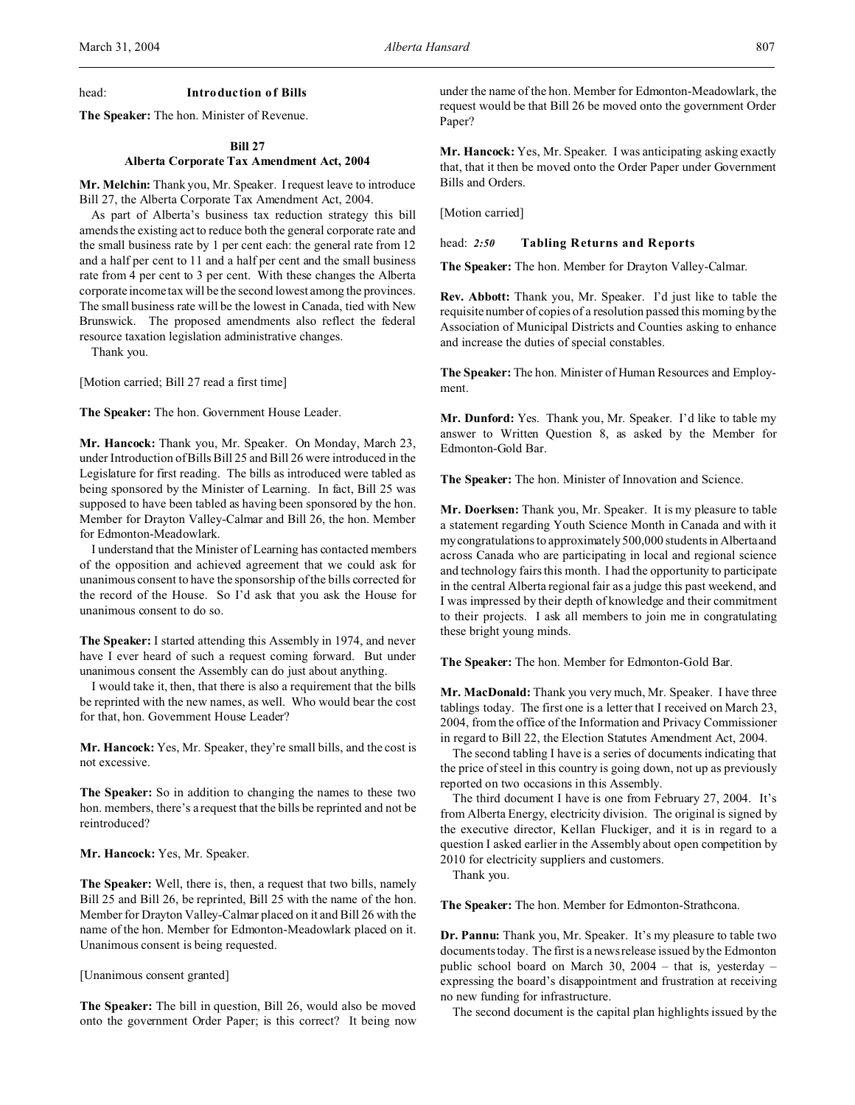## head: **Introduction of Bills**

**The Speaker:** The hon. Minister of Revenue.

# **Bill 27**

# **Alberta Corporate Tax Amendment Act, 2004**

**Mr. Melchin:** Thank you, Mr. Speaker. I request leave to introduce Bill 27, the Alberta Corporate Tax Amendment Act, 2004.

As part of Alberta's business tax reduction strategy this bill amends the existing act to reduce both the general corporate rate and the small business rate by 1 per cent each: the general rate from 12 and a half per cent to 11 and a half per cent and the small business rate from 4 per cent to 3 per cent. With these changes the Alberta corporate income tax will be the second lowest among the provinces. The small business rate will be the lowest in Canada, tied with New Brunswick. The proposed amendments also reflect the federal resource taxation legislation administrative changes.

Thank you.

[Motion carried; Bill 27 read a first time]

**The Speaker:** The hon. Government House Leader.

**Mr. Hancock:** Thank you, Mr. Speaker. On Monday, March 23, under Introduction of Bills Bill 25 and Bill 26 were introduced in the Legislature for first reading. The bills as introduced were tabled as being sponsored by the Minister of Learning. In fact, Bill 25 was supposed to have been tabled as having been sponsored by the hon. Member for Drayton Valley-Calmar and Bill 26, the hon. Member for Edmonton-Meadowlark.

I understand that the Minister of Learning has contacted members of the opposition and achieved agreement that we could ask for unanimous consent to have the sponsorship of the bills corrected for the record of the House. So I'd ask that you ask the House for unanimous consent to do so.

**The Speaker:** I started attending this Assembly in 1974, and never have I ever heard of such a request coming forward. But under unanimous consent the Assembly can do just about anything.

I would take it, then, that there is also a requirement that the bills be reprinted with the new names, as well. Who would bear the cost for that, hon. Government House Leader?

**Mr. Hancock:** Yes, Mr. Speaker, they're small bills, and the cost is not excessive.

**The Speaker:** So in addition to changing the names to these two hon. members, there's a request that the bills be reprinted and not be reintroduced?

**Mr. Hancock:** Yes, Mr. Speaker.

**The Speaker:** Well, there is, then, a request that two bills, namely Bill 25 and Bill 26, be reprinted, Bill 25 with the name of the hon. Member for Drayton Valley-Calmar placed on it and Bill 26 with the name of the hon. Member for Edmonton-Meadowlark placed on it. Unanimous consent is being requested.

[Unanimous consent granted]

**The Speaker:** The bill in question, Bill 26, would also be moved onto the government Order Paper; is this correct? It being now under the name of the hon. Member for Edmonton-Meadowlark, the request would be that Bill 26 be moved onto the government Order Paper?

**Mr. Hancock:** Yes, Mr. Speaker. I was anticipating asking exactly that, that it then be moved onto the Order Paper under Government Bills and Orders.

[Motion carried]

head: *2:50* **Tabling Returns and Reports**

**The Speaker:** The hon. Member for Drayton Valley-Calmar.

**Rev. Abbott:** Thank you, Mr. Speaker. I'd just like to table the requisite number of copies of a resolution passed this morning by the Association of Municipal Districts and Counties asking to enhance and increase the duties of special constables.

**The Speaker:** The hon. Minister of Human Resources and Employment.

**Mr. Dunford:** Yes. Thank you, Mr. Speaker. I'd like to table my answer to Written Question 8, as asked by the Member for Edmonton-Gold Bar.

**The Speaker:** The hon. Minister of Innovation and Science.

**Mr. Doerksen:** Thank you, Mr. Speaker. It is my pleasure to table a statement regarding Youth Science Month in Canada and with it mycongratulations to approximately 500,000 students in Albertaand across Canada who are participating in local and regional science and technology fairs this month. I had the opportunity to participate in the central Alberta regional fair as a judge this past weekend, and I was impressed by their depth of knowledge and their commitment to their projects. I ask all members to join me in congratulating these bright young minds.

**The Speaker:** The hon. Member for Edmonton-Gold Bar.

**Mr. MacDonald:** Thank you very much, Mr. Speaker. I have three tablings today. The first one is a letter that I received on March 23, 2004, from the office of the Information and Privacy Commissioner in regard to Bill 22, the Election Statutes Amendment Act, 2004.

The second tabling I have is a series of documents indicating that the price of steel in this country is going down, not up as previously reported on two occasions in this Assembly.

The third document I have is one from February 27, 2004. It's from Alberta Energy, electricity division. The original is signed by the executive director, Kellan Fluckiger, and it is in regard to a question I asked earlier in the Assembly about open competition by 2010 for electricity suppliers and customers.

Thank you.

**The Speaker:** The hon. Member for Edmonton-Strathcona.

**Dr. Pannu:** Thank you, Mr. Speaker. It's my pleasure to table two documents today. The first is a news release issued by the Edmonton public school board on March 30, 2004 – that is, yesterday – expressing the board's disappointment and frustration at receiving no new funding for infrastructure.

The second document is the capital plan highlights issued by the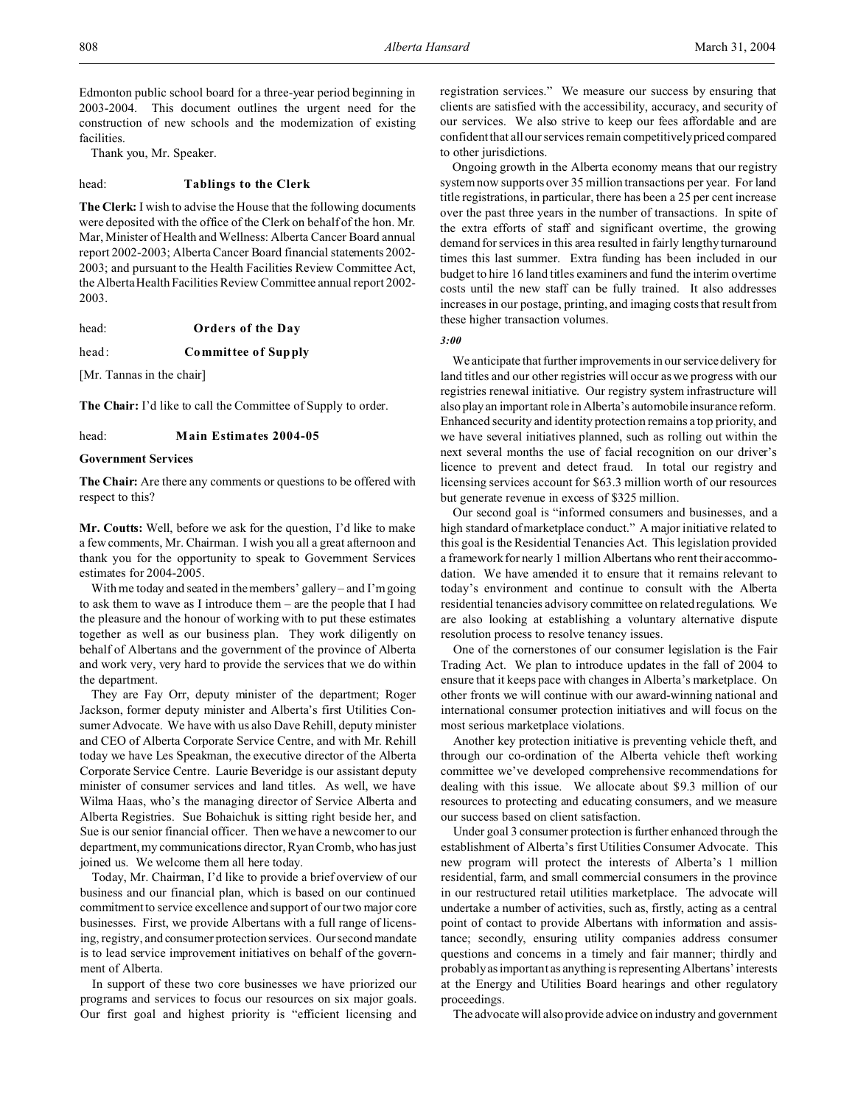Edmonton public school board for a three-year period beginning in 2003-2004. This document outlines the urgent need for the construction of new schools and the modernization of existing facilities.

Thank you, Mr. Speaker.

#### head: **Tablings to the Clerk**

**The Clerk:** I wish to advise the House that the following documents were deposited with the office of the Clerk on behalf of the hon. Mr. Mar, Minister of Health and Wellness: Alberta Cancer Board annual report 2002-2003; Alberta Cancer Board financial statements 2002- 2003; and pursuant to the Health Facilities Review Committee Act, the Alberta Health Facilities Review Committee annual report 2002- 2003.

head: **Orders of the Day**

head: **Committee of Supply**

[Mr. Tannas in the chair]

**The Chair:** I'd like to call the Committee of Supply to order.

head: **Main Estimates 2004-05**

## **Government Services**

**The Chair:** Are there any comments or questions to be offered with respect to this?

**Mr. Coutts:** Well, before we ask for the question, I'd like to make a few comments, Mr. Chairman. I wish you all a great afternoon and thank you for the opportunity to speak to Government Services estimates for 2004-2005.

With me today and seated in the members' gallery – and I'm going to ask them to wave as I introduce them – are the people that I had the pleasure and the honour of working with to put these estimates together as well as our business plan. They work diligently on behalf of Albertans and the government of the province of Alberta and work very, very hard to provide the services that we do within the department.

They are Fay Orr, deputy minister of the department; Roger Jackson, former deputy minister and Alberta's first Utilities Consumer Advocate. We have with us also Dave Rehill, deputy minister and CEO of Alberta Corporate Service Centre, and with Mr. Rehill today we have Les Speakman, the executive director of the Alberta Corporate Service Centre. Laurie Beveridge is our assistant deputy minister of consumer services and land titles. As well, we have Wilma Haas, who's the managing director of Service Alberta and Alberta Registries. Sue Bohaichuk is sitting right beside her, and Sue is our senior financial officer. Then we have a newcomer to our department, my communications director, Ryan Cromb, who has just joined us. We welcome them all here today.

Today, Mr. Chairman, I'd like to provide a brief overview of our business and our financial plan, which is based on our continued commitment to service excellence and support of our two major core businesses. First, we provide Albertans with a full range of licensing, registry, and consumer protection services. Our second mandate is to lead service improvement initiatives on behalf of the government of Alberta.

In support of these two core businesses we have priorized our programs and services to focus our resources on six major goals. Our first goal and highest priority is "efficient licensing and registration services." We measure our success by ensuring that clients are satisfied with the accessibility, accuracy, and security of our services. We also strive to keep our fees affordable and are confident that all our services remain competitively priced compared to other jurisdictions.

Ongoing growth in the Alberta economy means that our registry system now supports over 35 million transactions per year. For land title registrations, in particular, there has been a 25 per cent increase over the past three years in the number of transactions. In spite of the extra efforts of staff and significant overtime, the growing demand for services in this area resulted in fairly lengthy turnaround times this last summer. Extra funding has been included in our budget to hire 16 land titles examiners and fund the interim overtime costs until the new staff can be fully trained. It also addresses increases in our postage, printing, and imaging costs that result from these higher transaction volumes.

*3:00*

We anticipate that further improvements in our service delivery for land titles and our other registries will occur as we progress with our registries renewal initiative. Our registry system infrastructure will also play an important role in Alberta's automobile insurance reform. Enhanced security and identity protection remains a top priority, and we have several initiatives planned, such as rolling out within the next several months the use of facial recognition on our driver's licence to prevent and detect fraud. In total our registry and licensing services account for \$63.3 million worth of our resources but generate revenue in excess of \$325 million.

Our second goal is "informed consumers and businesses, and a high standard of marketplace conduct." A major initiative related to this goal is the Residential Tenancies Act. This legislation provided a framework for nearly 1 million Albertans who rent their accommodation. We have amended it to ensure that it remains relevant to today's environment and continue to consult with the Alberta residential tenancies advisory committee on related regulations. We are also looking at establishing a voluntary alternative dispute resolution process to resolve tenancy issues.

One of the cornerstones of our consumer legislation is the Fair Trading Act. We plan to introduce updates in the fall of 2004 to ensure that it keeps pace with changes in Alberta's marketplace. On other fronts we will continue with our award-winning national and international consumer protection initiatives and will focus on the most serious marketplace violations.

Another key protection initiative is preventing vehicle theft, and through our co-ordination of the Alberta vehicle theft working committee we've developed comprehensive recommendations for dealing with this issue. We allocate about \$9.3 million of our resources to protecting and educating consumers, and we measure our success based on client satisfaction.

Under goal 3 consumer protection is further enhanced through the establishment of Alberta's first Utilities Consumer Advocate. This new program will protect the interests of Alberta's 1 million residential, farm, and small commercial consumers in the province in our restructured retail utilities marketplace. The advocate will undertake a number of activities, such as, firstly, acting as a central point of contact to provide Albertans with information and assistance; secondly, ensuring utility companies address consumer questions and concerns in a timely and fair manner; thirdly and probably as important as anything is representing Albertans'interests at the Energy and Utilities Board hearings and other regulatory proceedings.

The advocate will also provide advice on industry and government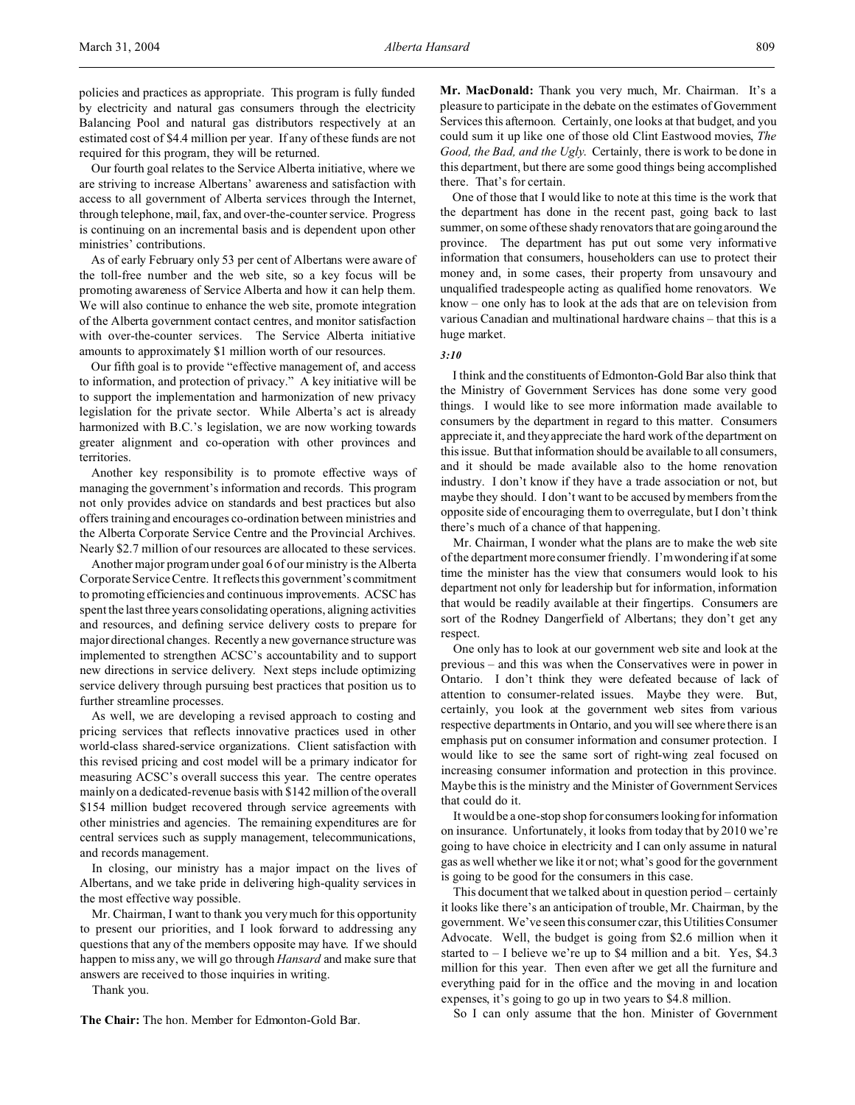policies and practices as appropriate. This program is fully funded by electricity and natural gas consumers through the electricity Balancing Pool and natural gas distributors respectively at an estimated cost of \$4.4 million per year. If any of these funds are not required for this program, they will be returned.

Our fourth goal relates to the Service Alberta initiative, where we are striving to increase Albertans' awareness and satisfaction with access to all government of Alberta services through the Internet, through telephone, mail, fax, and over-the-counter service. Progress is continuing on an incremental basis and is dependent upon other ministries' contributions.

As of early February only 53 per cent of Albertans were aware of the toll-free number and the web site, so a key focus will be promoting awareness of Service Alberta and how it can help them. We will also continue to enhance the web site, promote integration of the Alberta government contact centres, and monitor satisfaction with over-the-counter services. The Service Alberta initiative amounts to approximately \$1 million worth of our resources.

Our fifth goal is to provide "effective management of, and access to information, and protection of privacy." A key initiative will be to support the implementation and harmonization of new privacy legislation for the private sector. While Alberta's act is already harmonized with B.C.'s legislation, we are now working towards greater alignment and co-operation with other provinces and territories.

Another key responsibility is to promote effective ways of managing the government's information and records. This program not only provides advice on standards and best practices but also offers training and encourages co-ordination between ministries and the Alberta Corporate Service Centre and the Provincial Archives. Nearly \$2.7 million of our resources are allocated to these services.

Another major program under goal 6 of our ministry is the Alberta Corporate Service Centre. It reflects this government's commitment to promoting efficiencies and continuous improvements. ACSC has spent the last three years consolidating operations, aligning activities and resources, and defining service delivery costs to prepare for major directional changes. Recently a new governance structure was implemented to strengthen ACSC's accountability and to support new directions in service delivery. Next steps include optimizing service delivery through pursuing best practices that position us to further streamline processes.

As well, we are developing a revised approach to costing and pricing services that reflects innovative practices used in other world-class shared-service organizations. Client satisfaction with this revised pricing and cost model will be a primary indicator for measuring ACSC's overall success this year. The centre operates mainly on a dedicated-revenue basis with \$142 million of the overall \$154 million budget recovered through service agreements with other ministries and agencies. The remaining expenditures are for central services such as supply management, telecommunications, and records management.

In closing, our ministry has a major impact on the lives of Albertans, and we take pride in delivering high-quality services in the most effective way possible.

Mr. Chairman, I want to thank you very much for this opportunity to present our priorities, and I look forward to addressing any questions that any of the members opposite may have. If we should happen to miss any, we will go through *Hansard* and make sure that answers are received to those inquiries in writing.

Thank you.

**The Chair:** The hon. Member for Edmonton-Gold Bar.

**Mr. MacDonald:** Thank you very much, Mr. Chairman. It's a pleasure to participate in the debate on the estimates of Government Services this afternoon. Certainly, one looks at that budget, and you could sum it up like one of those old Clint Eastwood movies, *The Good, the Bad, and the Ugly*. Certainly, there is work to be done in this department, but there are some good things being accomplished there. That's for certain.

One of those that I would like to note at this time is the work that the department has done in the recent past, going back to last summer, on some of these shady renovators that are going around the province. The department has put out some very informative information that consumers, householders can use to protect their money and, in some cases, their property from unsavoury and unqualified tradespeople acting as qualified home renovators. We know – one only has to look at the ads that are on television from various Canadian and multinational hardware chains – that this is a huge market.

#### *3:10*

I think and the constituents of Edmonton-Gold Bar also think that the Ministry of Government Services has done some very good things. I would like to see more information made available to consumers by the department in regard to this matter. Consumers appreciate it, and they appreciate the hard work of the department on this issue. But that information should be available to all consumers, and it should be made available also to the home renovation industry. I don't know if they have a trade association or not, but maybe they should. I don't want to be accused by members from the opposite side of encouraging them to overregulate, but I don't think there's much of a chance of that happening.

Mr. Chairman, I wonder what the plans are to make the web site of the department more consumer friendly. I'm wondering if at some time the minister has the view that consumers would look to his department not only for leadership but for information, information that would be readily available at their fingertips. Consumers are sort of the Rodney Dangerfield of Albertans; they don't get any respect.

One only has to look at our government web site and look at the previous – and this was when the Conservatives were in power in Ontario. I don't think they were defeated because of lack of attention to consumer-related issues. Maybe they were. But, certainly, you look at the government web sites from various respective departments in Ontario, and you will see where there is an emphasis put on consumer information and consumer protection. I would like to see the same sort of right-wing zeal focused on increasing consumer information and protection in this province. Maybe this is the ministry and the Minister of Government Services that could do it.

It would be a one-stop shop for consumers looking for information on insurance. Unfortunately, it looks from today that by 2010 we're going to have choice in electricity and I can only assume in natural gas as well whether we like it or not; what's good for the government is going to be good for the consumers in this case.

This document that we talked about in question period – certainly it looks like there's an anticipation of trouble, Mr. Chairman, by the government. We've seen this consumer czar, this Utilities Consumer Advocate. Well, the budget is going from \$2.6 million when it started to  $-$  I believe we're up to \$4 million and a bit. Yes, \$4.3 million for this year. Then even after we get all the furniture and everything paid for in the office and the moving in and location expenses, it's going to go up in two years to \$4.8 million.

So I can only assume that the hon. Minister of Government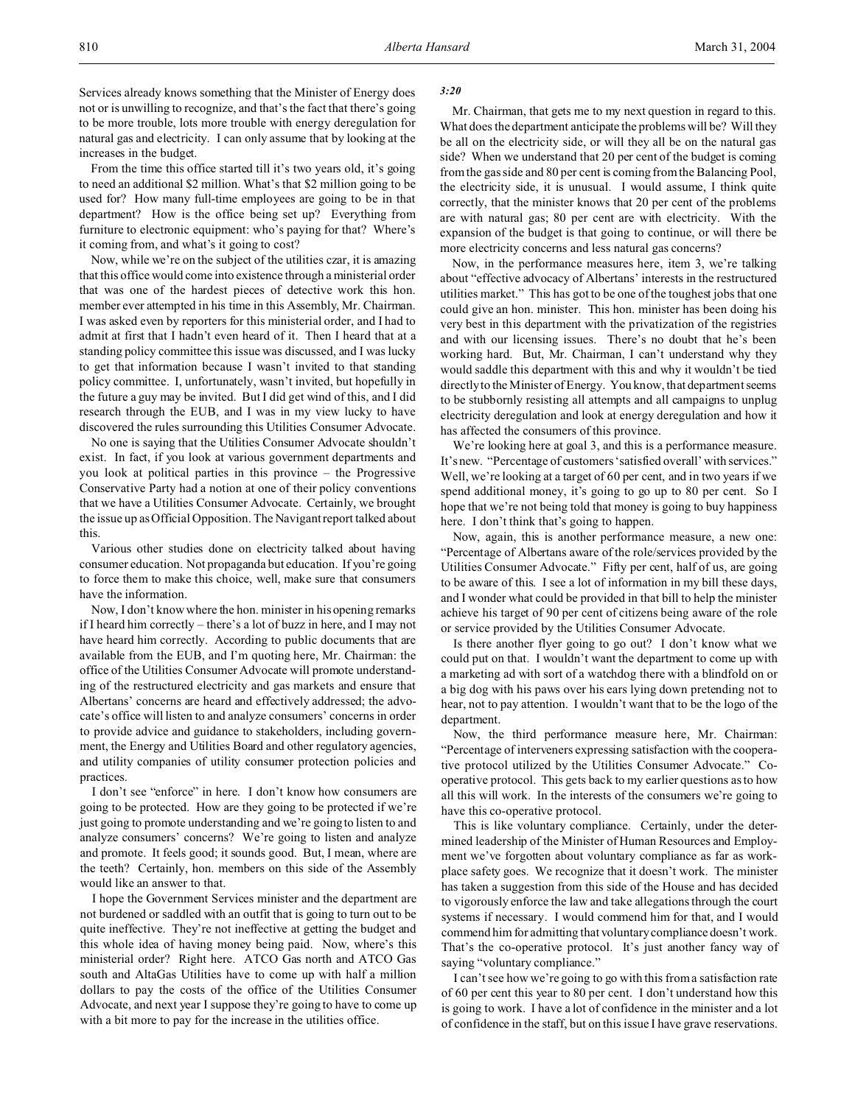Services already knows something that the Minister of Energy does not or is unwilling to recognize, and that's the fact that there's going to be more trouble, lots more trouble with energy deregulation for natural gas and electricity. I can only assume that by looking at the increases in the budget.

From the time this office started till it's two years old, it's going to need an additional \$2 million. What's that \$2 million going to be used for? How many full-time employees are going to be in that department? How is the office being set up? Everything from furniture to electronic equipment: who's paying for that? Where's it coming from, and what's it going to cost?

Now, while we're on the subject of the utilities czar, it is amazing that this office would come into existence through a ministerial order that was one of the hardest pieces of detective work this hon. member ever attempted in his time in this Assembly, Mr. Chairman. I was asked even by reporters for this ministerial order, and I had to admit at first that I hadn't even heard of it. Then I heard that at a standing policy committee this issue was discussed, and I was lucky to get that information because I wasn't invited to that standing policy committee. I, unfortunately, wasn't invited, but hopefully in the future a guy may be invited. But I did get wind of this, and I did research through the EUB, and I was in my view lucky to have discovered the rules surrounding this Utilities Consumer Advocate.

No one is saying that the Utilities Consumer Advocate shouldn't exist. In fact, if you look at various government departments and you look at political parties in this province – the Progressive Conservative Party had a notion at one of their policy conventions that we have a Utilities Consumer Advocate. Certainly, we brought the issue up as Official Opposition. The Navigant report talked about this.

Various other studies done on electricity talked about having consumer education. Not propaganda but education. If you're going to force them to make this choice, well, make sure that consumers have the information.

Now, I don't know where the hon. minister in his opening remarks if I heard him correctly – there's a lot of buzz in here, and I may not have heard him correctly. According to public documents that are available from the EUB, and I'm quoting here, Mr. Chairman: the office of the Utilities Consumer Advocate will promote understanding of the restructured electricity and gas markets and ensure that Albertans' concerns are heard and effectively addressed; the advocate's office will listen to and analyze consumers' concerns in order to provide advice and guidance to stakeholders, including government, the Energy and Utilities Board and other regulatory agencies, and utility companies of utility consumer protection policies and practices.

I don't see "enforce" in here. I don't know how consumers are going to be protected. How are they going to be protected if we're just going to promote understanding and we're going to listen to and analyze consumers' concerns? We're going to listen and analyze and promote. It feels good; it sounds good. But, I mean, where are the teeth? Certainly, hon. members on this side of the Assembly would like an answer to that.

I hope the Government Services minister and the department are not burdened or saddled with an outfit that is going to turn out to be quite ineffective. They're not ineffective at getting the budget and this whole idea of having money being paid. Now, where's this ministerial order? Right here. ATCO Gas north and ATCO Gas south and AltaGas Utilities have to come up with half a million dollars to pay the costs of the office of the Utilities Consumer Advocate, and next year I suppose they're going to have to come up with a bit more to pay for the increase in the utilities office.

## *3:20*

Mr. Chairman, that gets me to my next question in regard to this. What does the department anticipate the problems will be? Will they be all on the electricity side, or will they all be on the natural gas side? When we understand that 20 per cent of the budget is coming from the gas side and 80 per cent is coming from the Balancing Pool, the electricity side, it is unusual. I would assume, I think quite correctly, that the minister knows that 20 per cent of the problems are with natural gas; 80 per cent are with electricity. With the expansion of the budget is that going to continue, or will there be more electricity concerns and less natural gas concerns?

Now, in the performance measures here, item 3, we're talking about "effective advocacy of Albertans' interests in the restructured utilities market." This has got to be one of the toughest jobs that one could give an hon. minister. This hon. minister has been doing his very best in this department with the privatization of the registries and with our licensing issues. There's no doubt that he's been working hard. But, Mr. Chairman, I can't understand why they would saddle this department with this and why it wouldn't be tied directly to the Minister of Energy. You know, that department seems to be stubbornly resisting all attempts and all campaigns to unplug electricity deregulation and look at energy deregulation and how it has affected the consumers of this province.

We're looking here at goal 3, and this is a performance measure. It's new. "Percentage of customers 'satisfied overall' with services." Well, we're looking at a target of 60 per cent, and in two years if we spend additional money, it's going to go up to 80 per cent. So I hope that we're not being told that money is going to buy happiness here. I don't think that's going to happen.

Now, again, this is another performance measure, a new one: "Percentage of Albertans aware of the role/services provided by the Utilities Consumer Advocate." Fifty per cent, half of us, are going to be aware of this. I see a lot of information in my bill these days, and I wonder what could be provided in that bill to help the minister achieve his target of 90 per cent of citizens being aware of the role or service provided by the Utilities Consumer Advocate.

Is there another flyer going to go out? I don't know what we could put on that. I wouldn't want the department to come up with a marketing ad with sort of a watchdog there with a blindfold on or a big dog with his paws over his ears lying down pretending not to hear, not to pay attention. I wouldn't want that to be the logo of the department.

Now, the third performance measure here, Mr. Chairman: "Percentage of interveners expressing satisfaction with the cooperative protocol utilized by the Utilities Consumer Advocate." Cooperative protocol. This gets back to my earlier questions as to how all this will work. In the interests of the consumers we're going to have this co-operative protocol.

This is like voluntary compliance. Certainly, under the determined leadership of the Minister of Human Resources and Employment we've forgotten about voluntary compliance as far as workplace safety goes. We recognize that it doesn't work. The minister has taken a suggestion from this side of the House and has decided to vigorously enforce the law and take allegations through the court systems if necessary. I would commend him for that, and I would commend him for admitting that voluntary compliance doesn't work. That's the co-operative protocol. It's just another fancy way of saying "voluntary compliance."

I can't see how we're going to go with this from a satisfaction rate of 60 per cent this year to 80 per cent. I don't understand how this is going to work. I have a lot of confidence in the minister and a lot of confidence in the staff, but on this issue I have grave reservations.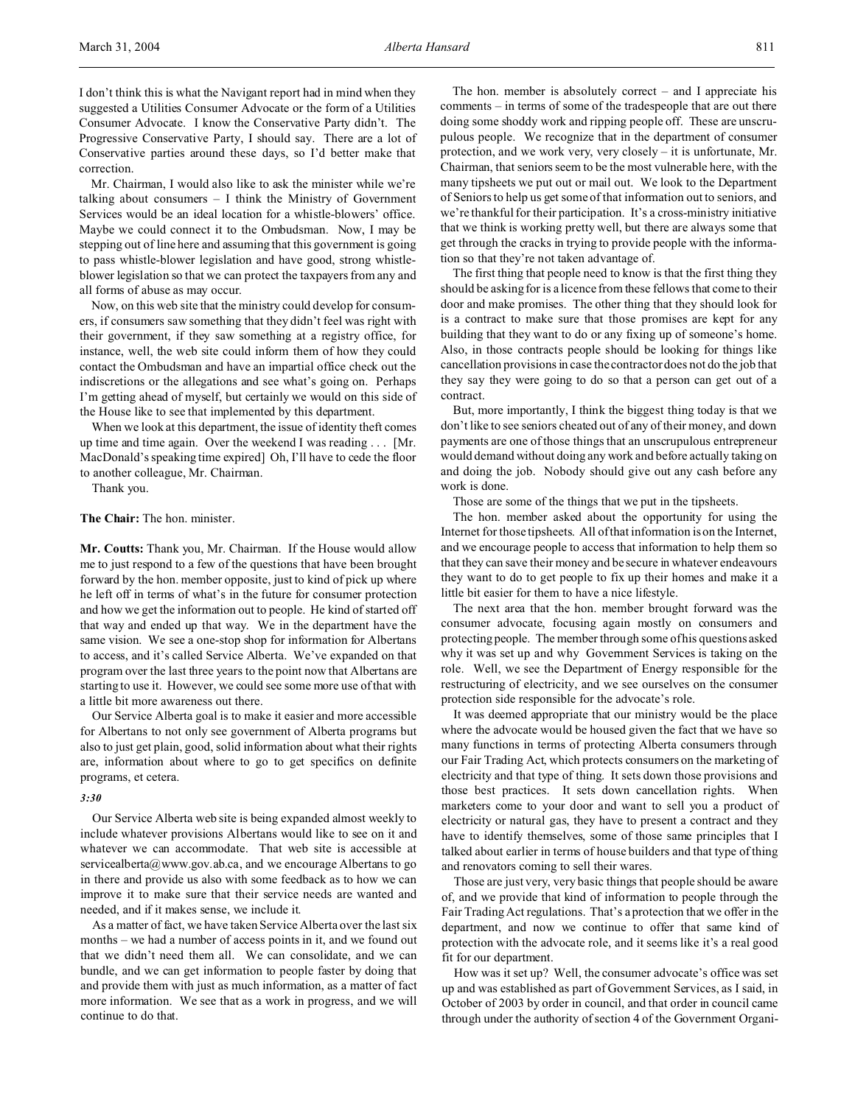I don't think this is what the Navigant report had in mind when they suggested a Utilities Consumer Advocate or the form of a Utilities Consumer Advocate. I know the Conservative Party didn't. The Progressive Conservative Party, I should say. There are a lot of Conservative parties around these days, so I'd better make that correction.

Mr. Chairman, I would also like to ask the minister while we're talking about consumers – I think the Ministry of Government Services would be an ideal location for a whistle-blowers' office. Maybe we could connect it to the Ombudsman. Now, I may be stepping out of line here and assuming that this government is going to pass whistle-blower legislation and have good, strong whistleblower legislation so that we can protect the taxpayers from any and all forms of abuse as may occur.

Now, on this web site that the ministry could develop for consumers, if consumers saw something that they didn't feel was right with their government, if they saw something at a registry office, for instance, well, the web site could inform them of how they could contact the Ombudsman and have an impartial office check out the indiscretions or the allegations and see what's going on. Perhaps I'm getting ahead of myself, but certainly we would on this side of the House like to see that implemented by this department.

When we look at this department, the issue of identity theft comes up time and time again. Over the weekend I was reading . . . [Mr. MacDonald's speaking time expired] Oh, I'll have to cede the floor to another colleague, Mr. Chairman.

Thank you.

**The Chair:** The hon. minister.

**Mr. Coutts:** Thank you, Mr. Chairman. If the House would allow me to just respond to a few of the questions that have been brought forward by the hon. member opposite, just to kind of pick up where he left off in terms of what's in the future for consumer protection and how we get the information out to people. He kind of started off that way and ended up that way. We in the department have the same vision. We see a one-stop shop for information for Albertans to access, and it's called Service Alberta. We've expanded on that program over the last three years to the point now that Albertans are starting to use it. However, we could see some more use of that with a little bit more awareness out there.

Our Service Alberta goal is to make it easier and more accessible for Albertans to not only see government of Alberta programs but also to just get plain, good, solid information about what their rights are, information about where to go to get specifics on definite programs, et cetera.

## *3:30*

Our Service Alberta web site is being expanded almost weekly to include whatever provisions Albertans would like to see on it and whatever we can accommodate. That web site is accessible at servicealberta@www.gov.ab.ca, and we encourage Albertans to go in there and provide us also with some feedback as to how we can improve it to make sure that their service needs are wanted and needed, and if it makes sense, we include it.

As a matter of fact, we have taken Service Alberta over the last six months – we had a number of access points in it, and we found out that we didn't need them all. We can consolidate, and we can bundle, and we can get information to people faster by doing that and provide them with just as much information, as a matter of fact more information. We see that as a work in progress, and we will continue to do that.

The hon. member is absolutely correct – and I appreciate his comments – in terms of some of the tradespeople that are out there doing some shoddy work and ripping people off. These are unscrupulous people. We recognize that in the department of consumer protection, and we work very, very closely – it is unfortunate, Mr. Chairman, that seniors seem to be the most vulnerable here, with the many tipsheets we put out or mail out. We look to the Department of Seniors to help us get some of that information out to seniors, and we're thankful for their participation. It's a cross-ministry initiative that we think is working pretty well, but there are always some that get through the cracks in trying to provide people with the information so that they're not taken advantage of.

The first thing that people need to know is that the first thing they should be asking for is a licence from these fellows that come to their door and make promises. The other thing that they should look for is a contract to make sure that those promises are kept for any building that they want to do or any fixing up of someone's home. Also, in those contracts people should be looking for things like cancellation provisions in case the contractor does not do the job that they say they were going to do so that a person can get out of a contract.

But, more importantly, I think the biggest thing today is that we don't like to see seniors cheated out of any of their money, and down payments are one of those things that an unscrupulous entrepreneur would demand without doing any work and before actually taking on and doing the job. Nobody should give out any cash before any work is done.

Those are some of the things that we put in the tipsheets.

The hon. member asked about the opportunity for using the Internet for those tipsheets. All of that information is on the Internet, and we encourage people to access that information to help them so that they can save their money and be secure in whatever endeavours they want to do to get people to fix up their homes and make it a little bit easier for them to have a nice lifestyle.

The next area that the hon. member brought forward was the consumer advocate, focusing again mostly on consumers and protecting people. The member through some of his questions asked why it was set up and why Government Services is taking on the role. Well, we see the Department of Energy responsible for the restructuring of electricity, and we see ourselves on the consumer protection side responsible for the advocate's role.

It was deemed appropriate that our ministry would be the place where the advocate would be housed given the fact that we have so many functions in terms of protecting Alberta consumers through our Fair Trading Act, which protects consumers on the marketing of electricity and that type of thing. It sets down those provisions and those best practices. It sets down cancellation rights. When marketers come to your door and want to sell you a product of electricity or natural gas, they have to present a contract and they have to identify themselves, some of those same principles that I talked about earlier in terms of house builders and that type of thing and renovators coming to sell their wares.

Those are just very, very basic things that people should be aware of, and we provide that kind of information to people through the Fair Trading Act regulations. That's a protection that we offer in the department, and now we continue to offer that same kind of protection with the advocate role, and it seems like it's a real good fit for our department.

How was it set up? Well, the consumer advocate's office was set up and was established as part of Government Services, as I said, in October of 2003 by order in council, and that order in council came through under the authority of section 4 of the Government Organi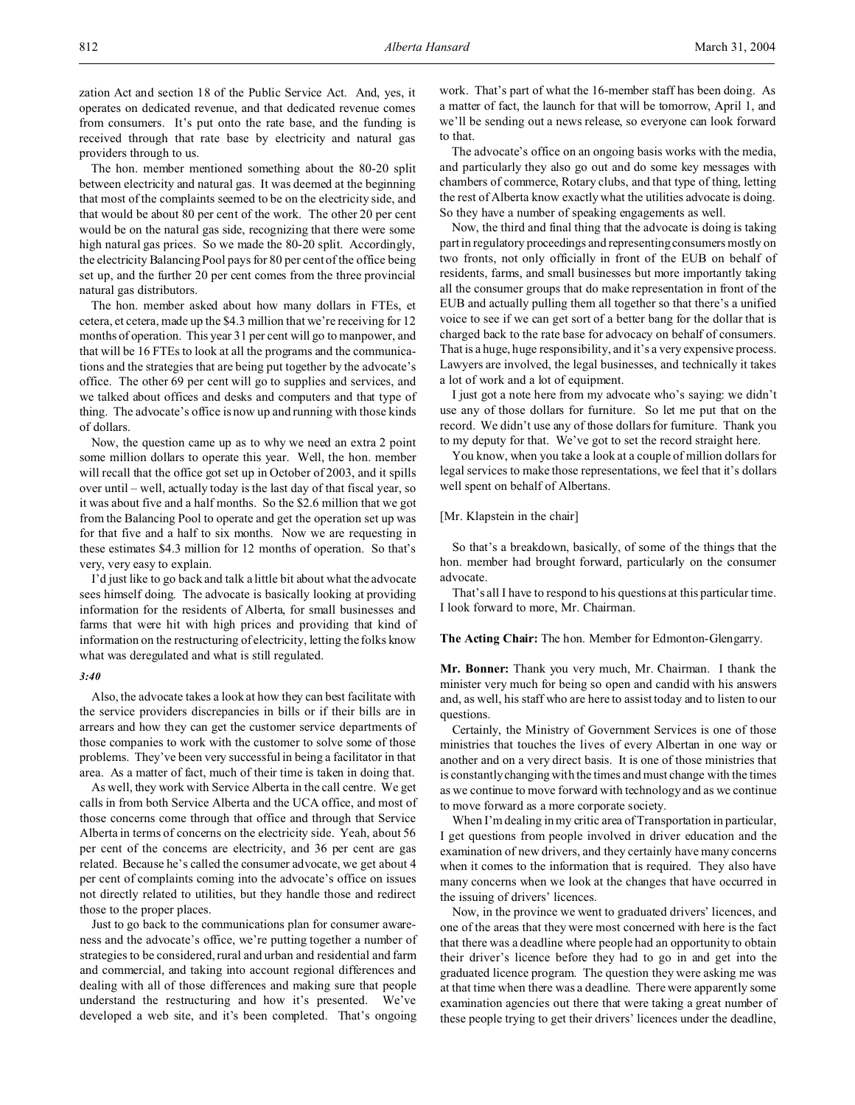zation Act and section 18 of the Public Service Act. And, yes, it operates on dedicated revenue, and that dedicated revenue comes from consumers. It's put onto the rate base, and the funding is received through that rate base by electricity and natural gas providers through to us.

The hon. member mentioned something about the 80-20 split between electricity and natural gas. It was deemed at the beginning that most of the complaints seemed to be on the electricity side, and that would be about 80 per cent of the work. The other 20 per cent would be on the natural gas side, recognizing that there were some high natural gas prices. So we made the 80-20 split. Accordingly, the electricity Balancing Pool pays for 80 per cent of the office being set up, and the further 20 per cent comes from the three provincial natural gas distributors.

The hon. member asked about how many dollars in FTEs, et cetera, et cetera, made up the \$4.3 million that we're receiving for 12 months of operation. This year 31 per cent will go to manpower, and that will be 16 FTEs to look at all the programs and the communications and the strategies that are being put together by the advocate's office. The other 69 per cent will go to supplies and services, and we talked about offices and desks and computers and that type of thing. The advocate's office is now up and running with those kinds of dollars.

Now, the question came up as to why we need an extra 2 point some million dollars to operate this year. Well, the hon. member will recall that the office got set up in October of 2003, and it spills over until – well, actually today is the last day of that fiscal year, so it was about five and a half months. So the \$2.6 million that we got from the Balancing Pool to operate and get the operation set up was for that five and a half to six months. Now we are requesting in these estimates \$4.3 million for 12 months of operation. So that's very, very easy to explain.

I'd just like to go back and talk a little bit about what the advocate sees himself doing. The advocate is basically looking at providing information for the residents of Alberta, for small businesses and farms that were hit with high prices and providing that kind of information on the restructuring of electricity, letting the folks know what was deregulated and what is still regulated.

#### *3:40*

Also, the advocate takes a look at how they can best facilitate with the service providers discrepancies in bills or if their bills are in arrears and how they can get the customer service departments of those companies to work with the customer to solve some of those problems. They've been very successful in being a facilitator in that area. As a matter of fact, much of their time is taken in doing that.

As well, they work with Service Alberta in the call centre. We get calls in from both Service Alberta and the UCA office, and most of those concerns come through that office and through that Service Alberta in terms of concerns on the electricity side. Yeah, about 56 per cent of the concerns are electricity, and 36 per cent are gas related. Because he's called the consumer advocate, we get about 4 per cent of complaints coming into the advocate's office on issues not directly related to utilities, but they handle those and redirect those to the proper places.

Just to go back to the communications plan for consumer awareness and the advocate's office, we're putting together a number of strategies to be considered, rural and urban and residential and farm and commercial, and taking into account regional differences and dealing with all of those differences and making sure that people understand the restructuring and how it's presented. We've developed a web site, and it's been completed. That's ongoing

work. That's part of what the 16-member staff has been doing. As a matter of fact, the launch for that will be tomorrow, April 1, and we'll be sending out a news release, so everyone can look forward to that.

The advocate's office on an ongoing basis works with the media, and particularly they also go out and do some key messages with chambers of commerce, Rotary clubs, and that type of thing, letting the rest of Alberta know exactly what the utilities advocate is doing. So they have a number of speaking engagements as well.

Now, the third and final thing that the advocate is doing is taking part in regulatory proceedings and representing consumers mostly on two fronts, not only officially in front of the EUB on behalf of residents, farms, and small businesses but more importantly taking all the consumer groups that do make representation in front of the EUB and actually pulling them all together so that there's a unified voice to see if we can get sort of a better bang for the dollar that is charged back to the rate base for advocacy on behalf of consumers. That is a huge, huge responsibility, and it's a very expensive process. Lawyers are involved, the legal businesses, and technically it takes a lot of work and a lot of equipment.

I just got a note here from my advocate who's saying: we didn't use any of those dollars for furniture. So let me put that on the record. We didn't use any of those dollars for furniture. Thank you to my deputy for that. We've got to set the record straight here.

You know, when you take a look at a couple of million dollars for legal services to make those representations, we feel that it's dollars well spent on behalf of Albertans.

#### [Mr. Klapstein in the chair]

So that's a breakdown, basically, of some of the things that the hon. member had brought forward, particularly on the consumer advocate.

That's all I have to respond to his questions at this particular time. I look forward to more, Mr. Chairman.

## **The Acting Chair:** The hon. Member for Edmonton-Glengarry.

**Mr. Bonner:** Thank you very much, Mr. Chairman. I thank the minister very much for being so open and candid with his answers and, as well, his staff who are here to assist today and to listen to our questions.

Certainly, the Ministry of Government Services is one of those ministries that touches the lives of every Albertan in one way or another and on a very direct basis. It is one of those ministries that is constantly changing with the times and must change with the times as we continue to move forward with technology and as we continue to move forward as a more corporate society.

When I'm dealing in my critic area of Transportation in particular, I get questions from people involved in driver education and the examination of new drivers, and they certainly have many concerns when it comes to the information that is required. They also have many concerns when we look at the changes that have occurred in the issuing of drivers' licences.

Now, in the province we went to graduated drivers' licences, and one of the areas that they were most concerned with here is the fact that there was a deadline where people had an opportunity to obtain their driver's licence before they had to go in and get into the graduated licence program. The question they were asking me was at that time when there was a deadline. There were apparently some examination agencies out there that were taking a great number of these people trying to get their drivers' licences under the deadline,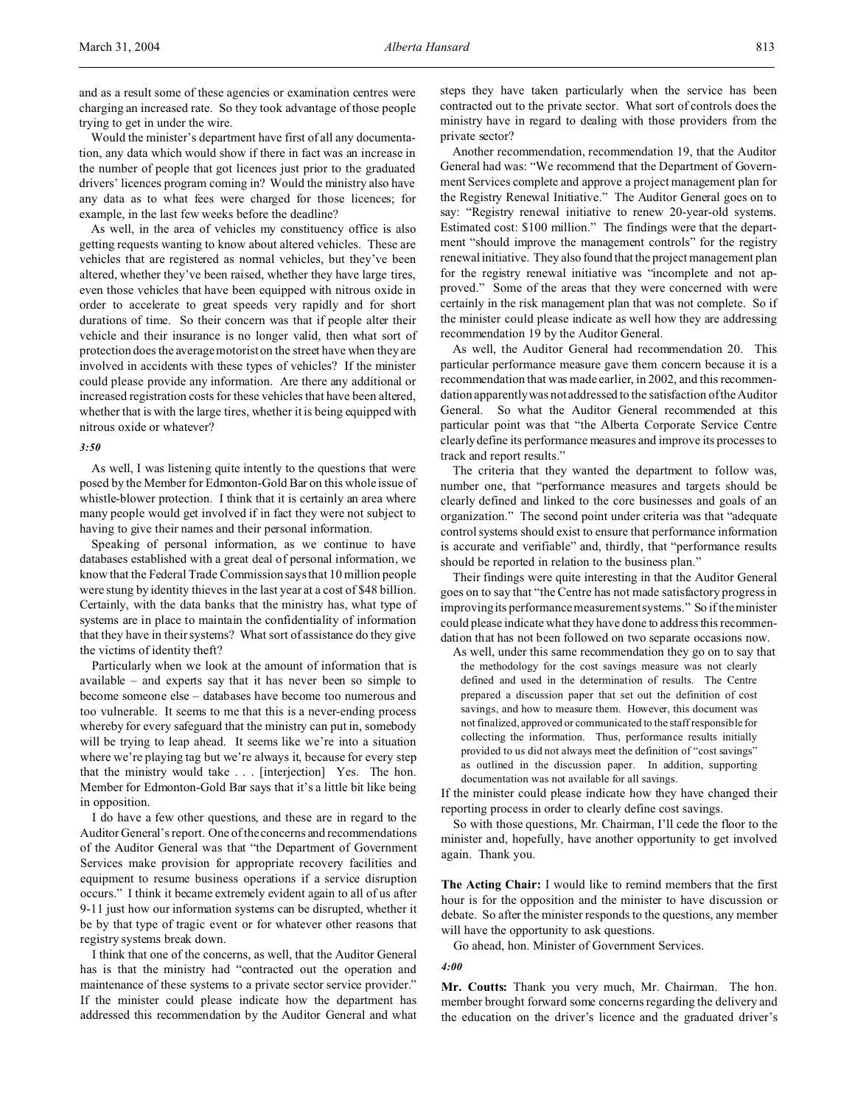and as a result some of these agencies or examination centres were charging an increased rate. So they took advantage of those people trying to get in under the wire.

Would the minister's department have first of all any documentation, any data which would show if there in fact was an increase in the number of people that got licences just prior to the graduated drivers' licences program coming in? Would the ministry also have any data as to what fees were charged for those licences; for example, in the last few weeks before the deadline?

As well, in the area of vehicles my constituency office is also getting requests wanting to know about altered vehicles. These are vehicles that are registered as normal vehicles, but they've been altered, whether they've been raised, whether they have large tires, even those vehicles that have been equipped with nitrous oxide in order to accelerate to great speeds very rapidly and for short durations of time. So their concern was that if people alter their vehicle and their insurance is no longer valid, then what sort of protection does the average motorist on the street have when they are involved in accidents with these types of vehicles? If the minister could please provide any information. Are there any additional or increased registration costs for these vehicles that have been altered, whether that is with the large tires, whether it is being equipped with nitrous oxide or whatever?

#### *3:50*

As well, I was listening quite intently to the questions that were posed by the Member for Edmonton-Gold Bar on this whole issue of whistle-blower protection. I think that it is certainly an area where many people would get involved if in fact they were not subject to having to give their names and their personal information.

Speaking of personal information, as we continue to have databases established with a great deal of personal information, we know that the Federal Trade Commission says that 10 million people were stung by identity thieves in the last year at a cost of \$48 billion. Certainly, with the data banks that the ministry has, what type of systems are in place to maintain the confidentiality of information that they have in their systems? What sort of assistance do they give the victims of identity theft?

Particularly when we look at the amount of information that is available – and experts say that it has never been so simple to become someone else – databases have become too numerous and too vulnerable. It seems to me that this is a never-ending process whereby for every safeguard that the ministry can put in, somebody will be trying to leap ahead. It seems like we're into a situation where we're playing tag but we're always it, because for every step that the ministry would take . . . [interjection] Yes. The hon. Member for Edmonton-Gold Bar says that it's a little bit like being in opposition.

I do have a few other questions, and these are in regard to the Auditor General's report. One of the concerns and recommendations of the Auditor General was that "the Department of Government Services make provision for appropriate recovery facilities and equipment to resume business operations if a service disruption occurs." I think it became extremely evident again to all of us after 9-11 just how our information systems can be disrupted, whether it be by that type of tragic event or for whatever other reasons that registry systems break down.

I think that one of the concerns, as well, that the Auditor General has is that the ministry had "contracted out the operation and maintenance of these systems to a private sector service provider." If the minister could please indicate how the department has addressed this recommendation by the Auditor General and what steps they have taken particularly when the service has been contracted out to the private sector. What sort of controls does the ministry have in regard to dealing with those providers from the private sector?

Another recommendation, recommendation 19, that the Auditor General had was: "We recommend that the Department of Government Services complete and approve a project management plan for the Registry Renewal Initiative." The Auditor General goes on to say: "Registry renewal initiative to renew 20-year-old systems. Estimated cost: \$100 million." The findings were that the department "should improve the management controls" for the registry renewal initiative. They also found that the project management plan for the registry renewal initiative was "incomplete and not approved." Some of the areas that they were concerned with were certainly in the risk management plan that was not complete. So if the minister could please indicate as well how they are addressing recommendation 19 by the Auditor General.

As well, the Auditor General had recommendation 20. This particular performance measure gave them concern because it is a recommendation that was made earlier, in 2002, and this recommendation apparently was not addressed to the satisfaction of the Auditor General. So what the Auditor General recommended at this particular point was that "the Alberta Corporate Service Centre clearly define its performance measures and improve its processes to track and report results."

The criteria that they wanted the department to follow was, number one, that "performance measures and targets should be clearly defined and linked to the core businesses and goals of an organization." The second point under criteria was that "adequate control systems should exist to ensure that performance information is accurate and verifiable" and, thirdly, that "performance results should be reported in relation to the business plan."

Their findings were quite interesting in that the Auditor General goes on to say that "the Centre has not made satisfactory progress in improving its performance measurement systems." So if the minister could please indicate what they have done to address this recommendation that has not been followed on two separate occasions now.

As well, under this same recommendation they go on to say that the methodology for the cost savings measure was not clearly defined and used in the determination of results. The Centre prepared a discussion paper that set out the definition of cost savings, and how to measure them. However, this document was not finalized, approved or communicated to the staff responsible for collecting the information. Thus, performance results initially provided to us did not always meet the definition of "cost savings" as outlined in the discussion paper. In addition, supporting documentation was not available for all savings.

If the minister could please indicate how they have changed their reporting process in order to clearly define cost savings.

So with those questions, Mr. Chairman, I'll cede the floor to the minister and, hopefully, have another opportunity to get involved again. Thank you.

**The Acting Chair:** I would like to remind members that the first hour is for the opposition and the minister to have discussion or debate. So after the minister responds to the questions, any member will have the opportunity to ask questions.

Go ahead, hon. Minister of Government Services.

*4:00*

**Mr. Coutts:** Thank you very much, Mr. Chairman. The hon. member brought forward some concerns regarding the delivery and the education on the driver's licence and the graduated driver's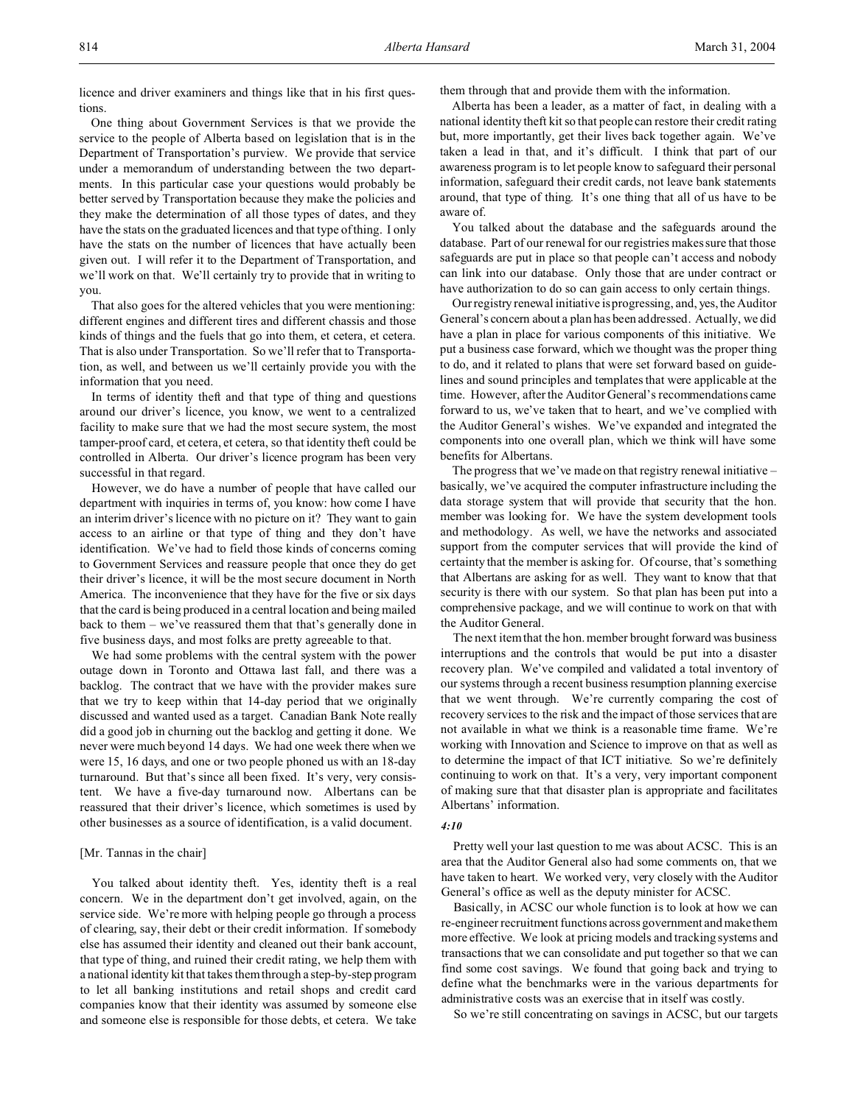licence and driver examiners and things like that in his first questions.

One thing about Government Services is that we provide the service to the people of Alberta based on legislation that is in the Department of Transportation's purview. We provide that service under a memorandum of understanding between the two departments. In this particular case your questions would probably be better served by Transportation because they make the policies and they make the determination of all those types of dates, and they have the stats on the graduated licences and that type of thing. I only have the stats on the number of licences that have actually been given out. I will refer it to the Department of Transportation, and we'll work on that. We'll certainly try to provide that in writing to you.

That also goes for the altered vehicles that you were mentioning: different engines and different tires and different chassis and those kinds of things and the fuels that go into them, et cetera, et cetera. That is also under Transportation. So we'll refer that to Transportation, as well, and between us we'll certainly provide you with the information that you need.

In terms of identity theft and that type of thing and questions around our driver's licence, you know, we went to a centralized facility to make sure that we had the most secure system, the most tamper-proof card, et cetera, et cetera, so that identity theft could be controlled in Alberta. Our driver's licence program has been very successful in that regard.

However, we do have a number of people that have called our department with inquiries in terms of, you know: how come I have an interim driver's licence with no picture on it? They want to gain access to an airline or that type of thing and they don't have identification. We've had to field those kinds of concerns coming to Government Services and reassure people that once they do get their driver's licence, it will be the most secure document in North America. The inconvenience that they have for the five or six days that the card is being produced in a central location and being mailed back to them – we've reassured them that that's generally done in five business days, and most folks are pretty agreeable to that.

We had some problems with the central system with the power outage down in Toronto and Ottawa last fall, and there was a backlog. The contract that we have with the provider makes sure that we try to keep within that 14-day period that we originally discussed and wanted used as a target. Canadian Bank Note really did a good job in churning out the backlog and getting it done. We never were much beyond 14 days. We had one week there when we were 15, 16 days, and one or two people phoned us with an 18-day turnaround. But that's since all been fixed. It's very, very consistent. We have a five-day turnaround now. Albertans can be reassured that their driver's licence, which sometimes is used by other businesses as a source of identification, is a valid document.

#### [Mr. Tannas in the chair]

You talked about identity theft. Yes, identity theft is a real concern. We in the department don't get involved, again, on the service side. We're more with helping people go through a process of clearing, say, their debt or their credit information. If somebody else has assumed their identity and cleaned out their bank account, that type of thing, and ruined their credit rating, we help them with a national identity kit that takes them through a step-by-step program to let all banking institutions and retail shops and credit card companies know that their identity was assumed by someone else and someone else is responsible for those debts, et cetera. We take them through that and provide them with the information.

Alberta has been a leader, as a matter of fact, in dealing with a national identity theft kit so that people can restore their credit rating but, more importantly, get their lives back together again. We've taken a lead in that, and it's difficult. I think that part of our awareness program is to let people know to safeguard their personal information, safeguard their credit cards, not leave bank statements around, that type of thing. It's one thing that all of us have to be aware of.

You talked about the database and the safeguards around the database. Part of our renewal for our registries makes sure that those safeguards are put in place so that people can't access and nobody can link into our database. Only those that are under contract or have authorization to do so can gain access to only certain things.

Our registry renewal initiative is progressing, and, yes, the Auditor General's concern about a plan has been addressed. Actually, we did have a plan in place for various components of this initiative. We put a business case forward, which we thought was the proper thing to do, and it related to plans that were set forward based on guidelines and sound principles and templates that were applicable at the time. However, after the Auditor General's recommendations came forward to us, we've taken that to heart, and we've complied with the Auditor General's wishes. We've expanded and integrated the components into one overall plan, which we think will have some benefits for Albertans.

The progress that we've made on that registry renewal initiative – basically, we've acquired the computer infrastructure including the data storage system that will provide that security that the hon. member was looking for. We have the system development tools and methodology. As well, we have the networks and associated support from the computer services that will provide the kind of certainty that the member is asking for. Of course, that's something that Albertans are asking for as well. They want to know that that security is there with our system. So that plan has been put into a comprehensive package, and we will continue to work on that with the Auditor General.

The next item that the hon. member brought forward was business interruptions and the controls that would be put into a disaster recovery plan. We've compiled and validated a total inventory of our systems through a recent business resumption planning exercise that we went through. We're currently comparing the cost of recovery services to the risk and the impact of those services that are not available in what we think is a reasonable time frame. We're working with Innovation and Science to improve on that as well as to determine the impact of that ICT initiative. So we're definitely continuing to work on that. It's a very, very important component of making sure that that disaster plan is appropriate and facilitates Albertans' information.

# *4:10*

Pretty well your last question to me was about ACSC. This is an area that the Auditor General also had some comments on, that we have taken to heart. We worked very, very closely with the Auditor General's office as well as the deputy minister for ACSC.

Basically, in ACSC our whole function is to look at how we can re-engineer recruitment functions across government and make them more effective. We look at pricing models and tracking systems and transactions that we can consolidate and put together so that we can find some cost savings. We found that going back and trying to define what the benchmarks were in the various departments for administrative costs was an exercise that in itself was costly.

So we're still concentrating on savings in ACSC, but our targets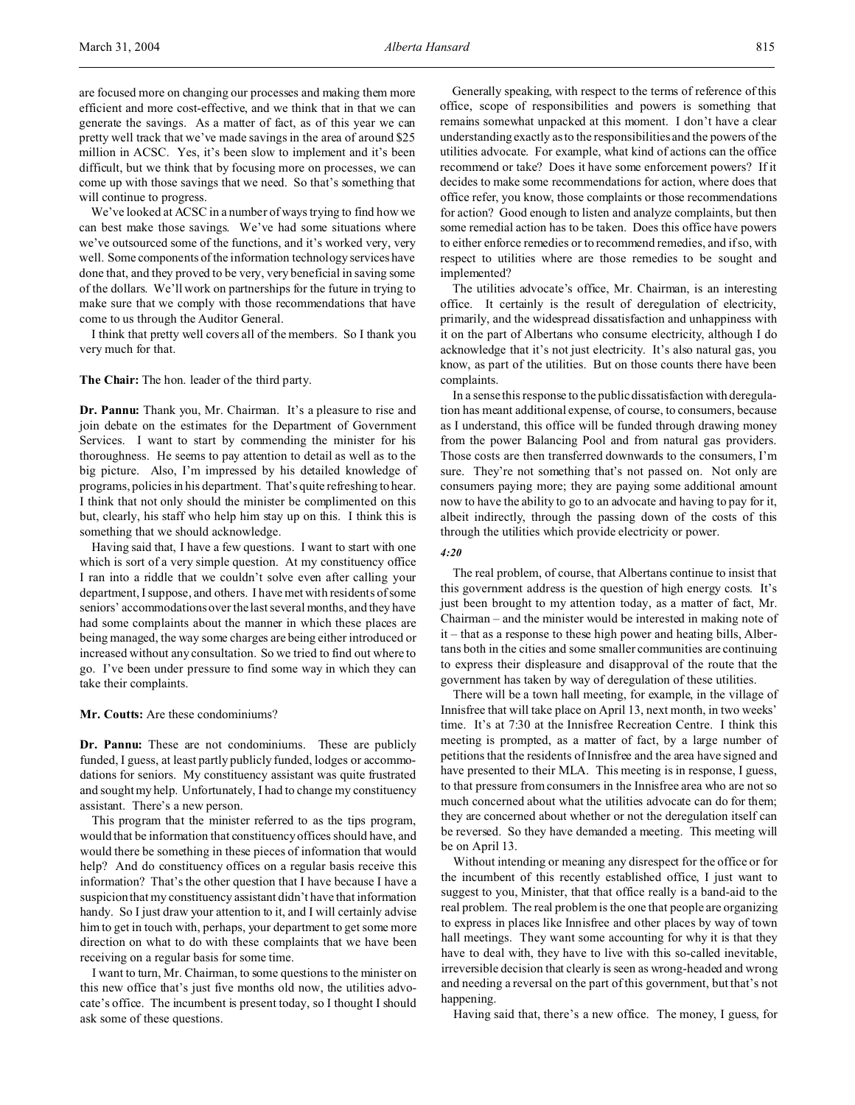are focused more on changing our processes and making them more efficient and more cost-effective, and we think that in that we can generate the savings. As a matter of fact, as of this year we can pretty well track that we've made savings in the area of around \$25 million in ACSC. Yes, it's been slow to implement and it's been difficult, but we think that by focusing more on processes, we can come up with those savings that we need. So that's something that will continue to progress.

We've looked at ACSC in a number of ways trying to find how we can best make those savings. We've had some situations where we've outsourced some of the functions, and it's worked very, very well. Some components of the information technology services have done that, and they proved to be very, very beneficial in saving some of the dollars. We'll work on partnerships for the future in trying to make sure that we comply with those recommendations that have come to us through the Auditor General.

I think that pretty well covers all of the members. So I thank you very much for that.

**The Chair:** The hon. leader of the third party.

**Dr. Pannu:** Thank you, Mr. Chairman. It's a pleasure to rise and join debate on the estimates for the Department of Government Services. I want to start by commending the minister for his thoroughness. He seems to pay attention to detail as well as to the big picture. Also, I'm impressed by his detailed knowledge of programs, policies in his department. That's quite refreshing to hear. I think that not only should the minister be complimented on this but, clearly, his staff who help him stay up on this. I think this is something that we should acknowledge.

Having said that, I have a few questions. I want to start with one which is sort of a very simple question. At my constituency office I ran into a riddle that we couldn't solve even after calling your department, I suppose, and others. I have met with residents of some seniors' accommodations over the last several months, and they have had some complaints about the manner in which these places are being managed, the way some charges are being either introduced or increased without any consultation. So we tried to find out where to go. I've been under pressure to find some way in which they can take their complaints.

**Mr. Coutts:** Are these condominiums?

**Dr. Pannu:** These are not condominiums. These are publicly funded, I guess, at least partly publicly funded, lodges or accommodations for seniors. My constituency assistant was quite frustrated and sought my help. Unfortunately, I had to change my constituency assistant. There's a new person.

This program that the minister referred to as the tips program, would that be information that constituency offices should have, and would there be something in these pieces of information that would help? And do constituency offices on a regular basis receive this information? That's the other question that I have because I have a suspicion that my constituency assistant didn't have that information handy. So I just draw your attention to it, and I will certainly advise him to get in touch with, perhaps, your department to get some more direction on what to do with these complaints that we have been receiving on a regular basis for some time.

I want to turn, Mr. Chairman, to some questions to the minister on this new office that's just five months old now, the utilities advocate's office. The incumbent is present today, so I thought I should ask some of these questions.

Generally speaking, with respect to the terms of reference of this office, scope of responsibilities and powers is something that remains somewhat unpacked at this moment. I don't have a clear understanding exactly as to the responsibilities and the powers of the utilities advocate. For example, what kind of actions can the office recommend or take? Does it have some enforcement powers? If it decides to make some recommendations for action, where does that office refer, you know, those complaints or those recommendations for action? Good enough to listen and analyze complaints, but then some remedial action has to be taken. Does this office have powers to either enforce remedies or to recommend remedies, and if so, with respect to utilities where are those remedies to be sought and implemented?

The utilities advocate's office, Mr. Chairman, is an interesting office. It certainly is the result of deregulation of electricity, primarily, and the widespread dissatisfaction and unhappiness with it on the part of Albertans who consume electricity, although I do acknowledge that it's not just electricity. It's also natural gas, you know, as part of the utilities. But on those counts there have been complaints.

In a sense this response to the public dissatisfaction with deregulation has meant additional expense, of course, to consumers, because as I understand, this office will be funded through drawing money from the power Balancing Pool and from natural gas providers. Those costs are then transferred downwards to the consumers, I'm sure. They're not something that's not passed on. Not only are consumers paying more; they are paying some additional amount now to have the ability to go to an advocate and having to pay for it, albeit indirectly, through the passing down of the costs of this through the utilities which provide electricity or power.

# *4:20*

The real problem, of course, that Albertans continue to insist that this government address is the question of high energy costs. It's just been brought to my attention today, as a matter of fact, Mr. Chairman – and the minister would be interested in making note of it – that as a response to these high power and heating bills, Albertans both in the cities and some smaller communities are continuing to express their displeasure and disapproval of the route that the government has taken by way of deregulation of these utilities.

There will be a town hall meeting, for example, in the village of Innisfree that will take place on April 13, next month, in two weeks' time. It's at 7:30 at the Innisfree Recreation Centre. I think this meeting is prompted, as a matter of fact, by a large number of petitions that the residents of Innisfree and the area have signed and have presented to their MLA. This meeting is in response, I guess, to that pressure from consumers in the Innisfree area who are not so much concerned about what the utilities advocate can do for them; they are concerned about whether or not the deregulation itself can be reversed. So they have demanded a meeting. This meeting will be on April 13.

Without intending or meaning any disrespect for the office or for the incumbent of this recently established office, I just want to suggest to you, Minister, that that office really is a band-aid to the real problem. The real problem is the one that people are organizing to express in places like Innisfree and other places by way of town hall meetings. They want some accounting for why it is that they have to deal with, they have to live with this so-called inevitable, irreversible decision that clearly is seen as wrong-headed and wrong and needing a reversal on the part of this government, but that's not happening.

Having said that, there's a new office. The money, I guess, for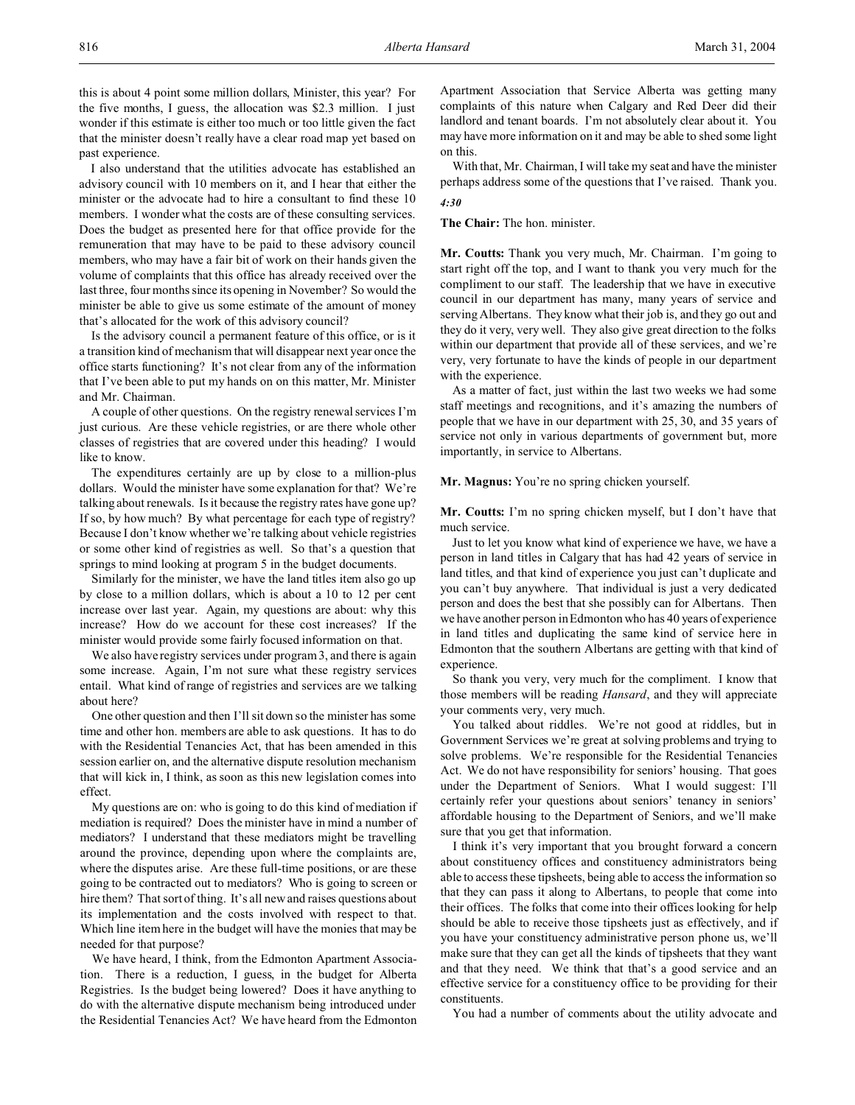this is about 4 point some million dollars, Minister, this year? For the five months, I guess, the allocation was \$2.3 million. I just wonder if this estimate is either too much or too little given the fact that the minister doesn't really have a clear road map yet based on past experience.

I also understand that the utilities advocate has established an advisory council with 10 members on it, and I hear that either the minister or the advocate had to hire a consultant to find these 10 members. I wonder what the costs are of these consulting services. Does the budget as presented here for that office provide for the remuneration that may have to be paid to these advisory council members, who may have a fair bit of work on their hands given the volume of complaints that this office has already received over the last three, four months since its opening in November? So would the minister be able to give us some estimate of the amount of money that's allocated for the work of this advisory council?

Is the advisory council a permanent feature of this office, or is it a transition kind of mechanism that will disappear next year once the office starts functioning? It's not clear from any of the information that I've been able to put my hands on on this matter, Mr. Minister and Mr. Chairman.

A couple of other questions. On the registry renewal services I'm just curious. Are these vehicle registries, or are there whole other classes of registries that are covered under this heading? I would like to know.

The expenditures certainly are up by close to a million-plus dollars. Would the minister have some explanation for that? We're talking about renewals. Is it because the registry rates have gone up? If so, by how much? By what percentage for each type of registry? Because I don't know whether we're talking about vehicle registries or some other kind of registries as well. So that's a question that springs to mind looking at program 5 in the budget documents.

Similarly for the minister, we have the land titles item also go up by close to a million dollars, which is about a 10 to 12 per cent increase over last year. Again, my questions are about: why this increase? How do we account for these cost increases? If the minister would provide some fairly focused information on that.

We also have registry services under program 3, and there is again some increase. Again, I'm not sure what these registry services entail. What kind of range of registries and services are we talking about here?

One other question and then I'll sit down so the minister has some time and other hon. members are able to ask questions. It has to do with the Residential Tenancies Act, that has been amended in this session earlier on, and the alternative dispute resolution mechanism that will kick in, I think, as soon as this new legislation comes into effect.

My questions are on: who is going to do this kind of mediation if mediation is required? Does the minister have in mind a number of mediators? I understand that these mediators might be travelling around the province, depending upon where the complaints are, where the disputes arise. Are these full-time positions, or are these going to be contracted out to mediators? Who is going to screen or hire them? That sort of thing. It's all new and raises questions about its implementation and the costs involved with respect to that. Which line item here in the budget will have the monies that may be needed for that purpose?

We have heard, I think, from the Edmonton Apartment Association. There is a reduction, I guess, in the budget for Alberta Registries. Is the budget being lowered? Does it have anything to do with the alternative dispute mechanism being introduced under the Residential Tenancies Act? We have heard from the Edmonton Apartment Association that Service Alberta was getting many complaints of this nature when Calgary and Red Deer did their landlord and tenant boards. I'm not absolutely clear about it. You may have more information on it and may be able to shed some light on this.

With that, Mr. Chairman, I will take my seat and have the minister perhaps address some of the questions that I've raised. Thank you. *4:30*

**The Chair:** The hon. minister.

**Mr. Coutts:** Thank you very much, Mr. Chairman. I'm going to start right off the top, and I want to thank you very much for the compliment to our staff. The leadership that we have in executive council in our department has many, many years of service and serving Albertans. They know what their job is, and they go out and they do it very, very well. They also give great direction to the folks within our department that provide all of these services, and we're very, very fortunate to have the kinds of people in our department with the experience.

As a matter of fact, just within the last two weeks we had some staff meetings and recognitions, and it's amazing the numbers of people that we have in our department with 25, 30, and 35 years of service not only in various departments of government but, more importantly, in service to Albertans.

**Mr. Magnus:** You're no spring chicken yourself.

**Mr. Coutts:** I'm no spring chicken myself, but I don't have that much service.

Just to let you know what kind of experience we have, we have a person in land titles in Calgary that has had 42 years of service in land titles, and that kind of experience you just can't duplicate and you can't buy anywhere. That individual is just a very dedicated person and does the best that she possibly can for Albertans. Then we have another person in Edmonton who has 40 years of experience in land titles and duplicating the same kind of service here in Edmonton that the southern Albertans are getting with that kind of experience.

So thank you very, very much for the compliment. I know that those members will be reading *Hansard*, and they will appreciate your comments very, very much.

You talked about riddles. We're not good at riddles, but in Government Services we're great at solving problems and trying to solve problems. We're responsible for the Residential Tenancies Act. We do not have responsibility for seniors' housing. That goes under the Department of Seniors. What I would suggest: I'll certainly refer your questions about seniors' tenancy in seniors' affordable housing to the Department of Seniors, and we'll make sure that you get that information.

I think it's very important that you brought forward a concern about constituency offices and constituency administrators being able to access these tipsheets, being able to access the information so that they can pass it along to Albertans, to people that come into their offices. The folks that come into their offices looking for help should be able to receive those tipsheets just as effectively, and if you have your constituency administrative person phone us, we'll make sure that they can get all the kinds of tipsheets that they want and that they need. We think that that's a good service and an effective service for a constituency office to be providing for their constituents.

You had a number of comments about the utility advocate and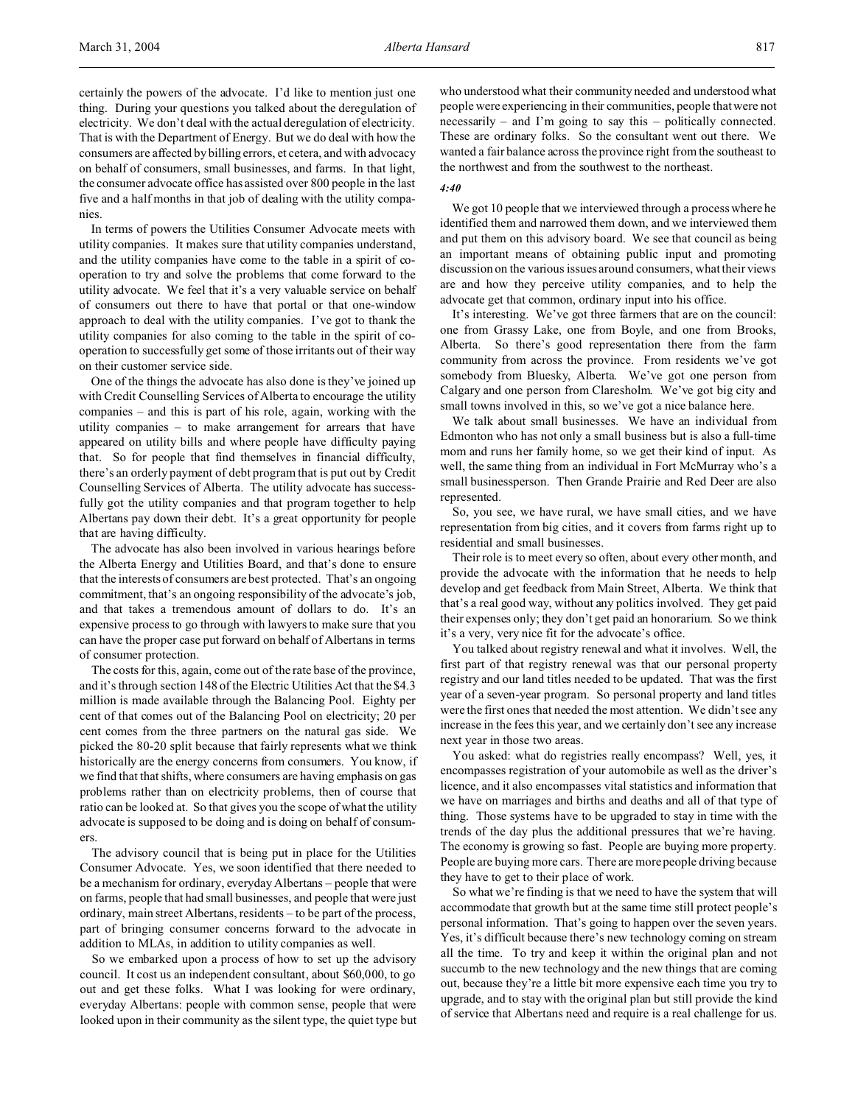certainly the powers of the advocate. I'd like to mention just one thing. During your questions you talked about the deregulation of electricity. We don't deal with the actual deregulation of electricity. That is with the Department of Energy. But we do deal with how the consumers are affected by billing errors, et cetera, and with advocacy on behalf of consumers, small businesses, and farms. In that light, the consumer advocate office has assisted over 800 people in the last five and a half months in that job of dealing with the utility companies.

In terms of powers the Utilities Consumer Advocate meets with utility companies. It makes sure that utility companies understand, and the utility companies have come to the table in a spirit of cooperation to try and solve the problems that come forward to the utility advocate. We feel that it's a very valuable service on behalf of consumers out there to have that portal or that one-window approach to deal with the utility companies. I've got to thank the utility companies for also coming to the table in the spirit of cooperation to successfully get some of those irritants out of their way on their customer service side.

One of the things the advocate has also done is they've joined up with Credit Counselling Services of Alberta to encourage the utility companies – and this is part of his role, again, working with the utility companies – to make arrangement for arrears that have appeared on utility bills and where people have difficulty paying that. So for people that find themselves in financial difficulty, there's an orderly payment of debt program that is put out by Credit Counselling Services of Alberta. The utility advocate has successfully got the utility companies and that program together to help Albertans pay down their debt. It's a great opportunity for people that are having difficulty.

The advocate has also been involved in various hearings before the Alberta Energy and Utilities Board, and that's done to ensure that the interests of consumers are best protected. That's an ongoing commitment, that's an ongoing responsibility of the advocate's job, and that takes a tremendous amount of dollars to do. It's an expensive process to go through with lawyers to make sure that you can have the proper case put forward on behalf of Albertans in terms of consumer protection.

The costs for this, again, come out of the rate base of the province, and it's through section 148 of the Electric Utilities Act that the \$4.3 million is made available through the Balancing Pool. Eighty per cent of that comes out of the Balancing Pool on electricity; 20 per cent comes from the three partners on the natural gas side. We picked the 80-20 split because that fairly represents what we think historically are the energy concerns from consumers. You know, if we find that that shifts, where consumers are having emphasis on gas problems rather than on electricity problems, then of course that ratio can be looked at. So that gives you the scope of what the utility advocate is supposed to be doing and is doing on behalf of consumers.

The advisory council that is being put in place for the Utilities Consumer Advocate. Yes, we soon identified that there needed to be a mechanism for ordinary, everyday Albertans – people that were on farms, people that had small businesses, and people that were just ordinary, main street Albertans, residents – to be part of the process, part of bringing consumer concerns forward to the advocate in addition to MLAs, in addition to utility companies as well.

So we embarked upon a process of how to set up the advisory council. It cost us an independent consultant, about \$60,000, to go out and get these folks. What I was looking for were ordinary, everyday Albertans: people with common sense, people that were looked upon in their community as the silent type, the quiet type but who understood what their community needed and understood what people were experiencing in their communities, people that were not necessarily – and I'm going to say this – politically connected. These are ordinary folks. So the consultant went out there. We wanted a fair balance across the province right from the southeast to the northwest and from the southwest to the northeast.

#### *4:40*

We got 10 people that we interviewed through a process where he identified them and narrowed them down, and we interviewed them and put them on this advisory board. We see that council as being an important means of obtaining public input and promoting discussion on the various issues around consumers, what their views are and how they perceive utility companies, and to help the advocate get that common, ordinary input into his office.

It's interesting. We've got three farmers that are on the council: one from Grassy Lake, one from Boyle, and one from Brooks, Alberta. So there's good representation there from the farm community from across the province. From residents we've got somebody from Bluesky, Alberta. We've got one person from Calgary and one person from Claresholm. We've got big city and small towns involved in this, so we've got a nice balance here.

We talk about small businesses. We have an individual from Edmonton who has not only a small business but is also a full-time mom and runs her family home, so we get their kind of input. As well, the same thing from an individual in Fort McMurray who's a small businessperson. Then Grande Prairie and Red Deer are also represented.

So, you see, we have rural, we have small cities, and we have representation from big cities, and it covers from farms right up to residential and small businesses.

Their role is to meet every so often, about every other month, and provide the advocate with the information that he needs to help develop and get feedback from Main Street, Alberta. We think that that's a real good way, without any politics involved. They get paid their expenses only; they don't get paid an honorarium. So we think it's a very, very nice fit for the advocate's office.

You talked about registry renewal and what it involves. Well, the first part of that registry renewal was that our personal property registry and our land titles needed to be updated. That was the first year of a seven-year program. So personal property and land titles were the first ones that needed the most attention. We didn't see any increase in the fees this year, and we certainly don't see any increase next year in those two areas.

You asked: what do registries really encompass? Well, yes, it encompasses registration of your automobile as well as the driver's licence, and it also encompasses vital statistics and information that we have on marriages and births and deaths and all of that type of thing. Those systems have to be upgraded to stay in time with the trends of the day plus the additional pressures that we're having. The economy is growing so fast. People are buying more property. People are buying more cars. There are more people driving because they have to get to their place of work.

So what we're finding is that we need to have the system that will accommodate that growth but at the same time still protect people's personal information. That's going to happen over the seven years. Yes, it's difficult because there's new technology coming on stream all the time. To try and keep it within the original plan and not succumb to the new technology and the new things that are coming out, because they're a little bit more expensive each time you try to upgrade, and to stay with the original plan but still provide the kind of service that Albertans need and require is a real challenge for us.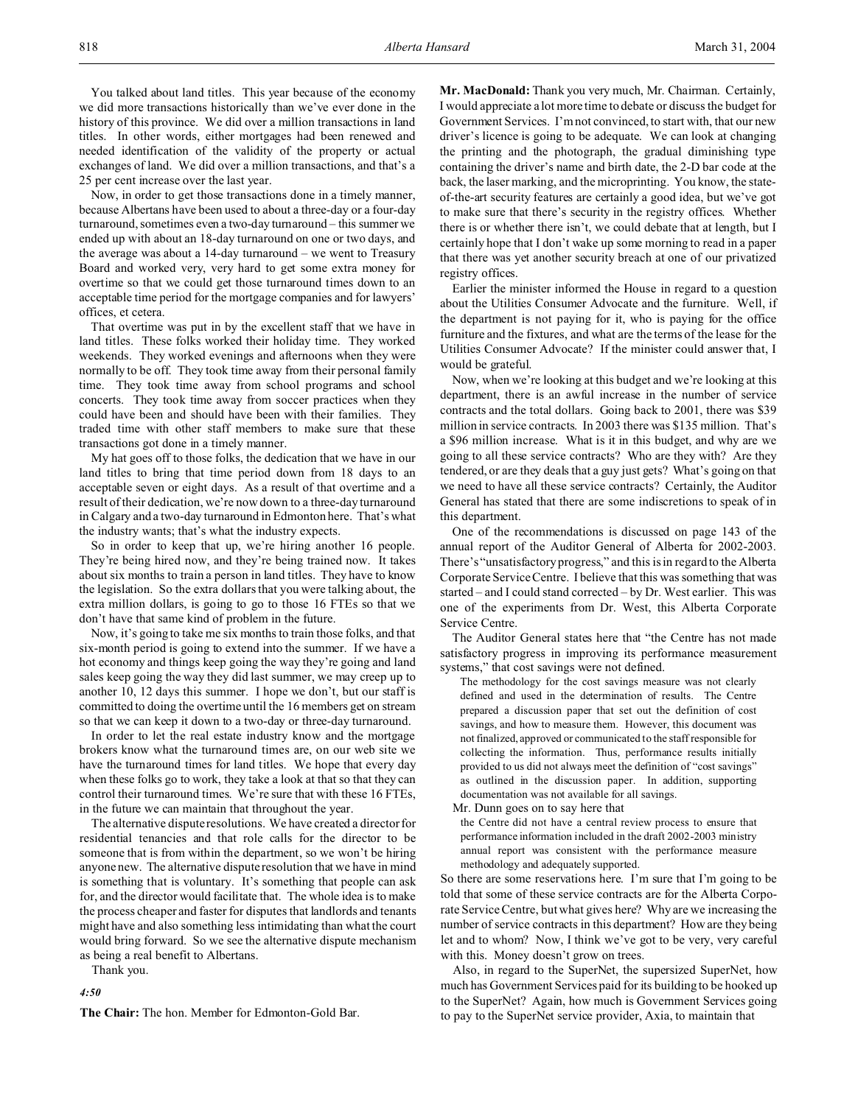You talked about land titles. This year because of the economy we did more transactions historically than we've ever done in the history of this province. We did over a million transactions in land titles. In other words, either mortgages had been renewed and needed identification of the validity of the property or actual exchanges of land. We did over a million transactions, and that's a 25 per cent increase over the last year.

Now, in order to get those transactions done in a timely manner, because Albertans have been used to about a three-day or a four-day turnaround, sometimes even a two-day turnaround – this summer we ended up with about an 18-day turnaround on one or two days, and the average was about a 14-day turnaround – we went to Treasury Board and worked very, very hard to get some extra money for overtime so that we could get those turnaround times down to an acceptable time period for the mortgage companies and for lawyers' offices, et cetera.

That overtime was put in by the excellent staff that we have in land titles. These folks worked their holiday time. They worked weekends. They worked evenings and afternoons when they were normally to be off. They took time away from their personal family time. They took time away from school programs and school concerts. They took time away from soccer practices when they could have been and should have been with their families. They traded time with other staff members to make sure that these transactions got done in a timely manner.

My hat goes off to those folks, the dedication that we have in our land titles to bring that time period down from 18 days to an acceptable seven or eight days. As a result of that overtime and a result of their dedication, we're now down to a three-day turnaround in Calgary and a two-day turnaround in Edmonton here. That's what the industry wants; that's what the industry expects.

So in order to keep that up, we're hiring another 16 people. They're being hired now, and they're being trained now. It takes about six months to train a person in land titles. They have to know the legislation. So the extra dollars that you were talking about, the extra million dollars, is going to go to those 16 FTEs so that we don't have that same kind of problem in the future.

Now, it's going to take me six months to train those folks, and that six-month period is going to extend into the summer. If we have a hot economy and things keep going the way they're going and land sales keep going the way they did last summer, we may creep up to another 10, 12 days this summer. I hope we don't, but our staff is committed to doing the overtime until the 16 members get on stream so that we can keep it down to a two-day or three-day turnaround.

In order to let the real estate industry know and the mortgage brokers know what the turnaround times are, on our web site we have the turnaround times for land titles. We hope that every day when these folks go to work, they take a look at that so that they can control their turnaround times. We're sure that with these 16 FTEs, in the future we can maintain that throughout the year.

The alternative dispute resolutions. We have created a director for residential tenancies and that role calls for the director to be someone that is from within the department, so we won't be hiring anyone new. The alternative dispute resolution that we have in mind is something that is voluntary. It's something that people can ask for, and the director would facilitate that. The whole idea is to make the process cheaper and faster for disputes that landlords and tenants might have and also something less intimidating than what the court would bring forward. So we see the alternative dispute mechanism as being a real benefit to Albertans.

Thank you.

*4:50*

**The Chair:** The hon. Member for Edmonton-Gold Bar.

**Mr. MacDonald:** Thank you very much, Mr. Chairman. Certainly, I would appreciate a lot more time to debate or discuss the budget for Government Services. I'm not convinced, to start with, that our new driver's licence is going to be adequate. We can look at changing the printing and the photograph, the gradual diminishing type containing the driver's name and birth date, the 2-D bar code at the back, the laser marking, and the microprinting. You know, the stateof-the-art security features are certainly a good idea, but we've got to make sure that there's security in the registry offices. Whether there is or whether there isn't, we could debate that at length, but I certainly hope that I don't wake up some morning to read in a paper that there was yet another security breach at one of our privatized registry offices.

Earlier the minister informed the House in regard to a question about the Utilities Consumer Advocate and the furniture. Well, if the department is not paying for it, who is paying for the office furniture and the fixtures, and what are the terms of the lease for the Utilities Consumer Advocate? If the minister could answer that, I would be grateful.

Now, when we're looking at this budget and we're looking at this department, there is an awful increase in the number of service contracts and the total dollars. Going back to 2001, there was \$39 million in service contracts. In 2003 there was \$135 million. That's a \$96 million increase. What is it in this budget, and why are we going to all these service contracts? Who are they with? Are they tendered, or are they deals that a guy just gets? What's going on that we need to have all these service contracts? Certainly, the Auditor General has stated that there are some indiscretions to speak of in this department.

One of the recommendations is discussed on page 143 of the annual report of the Auditor General of Alberta for 2002-2003. There's "unsatisfactory progress," and this is in regard to the Alberta Corporate Service Centre. I believe that this was something that was started – and I could stand corrected – by Dr. West earlier. This was one of the experiments from Dr. West, this Alberta Corporate Service Centre.

The Auditor General states here that "the Centre has not made satisfactory progress in improving its performance measurement systems," that cost savings were not defined.

The methodology for the cost savings measure was not clearly defined and used in the determination of results. The Centre prepared a discussion paper that set out the definition of cost savings, and how to measure them. However, this document was not finalized, approved or communicated to the staff responsible for collecting the information. Thus, performance results initially provided to us did not always meet the definition of "cost savings" as outlined in the discussion paper. In addition, supporting documentation was not available for all savings.

Mr. Dunn goes on to say here that

the Centre did not have a central review process to ensure that performance information included in the draft 2002-2003 ministry annual report was consistent with the performance measure methodology and adequately supported.

So there are some reservations here. I'm sure that I'm going to be told that some of these service contracts are for the Alberta Corporate Service Centre, but what gives here? Why are we increasing the number of service contracts in this department? How are they being let and to whom? Now, I think we've got to be very, very careful with this. Money doesn't grow on trees.

Also, in regard to the SuperNet, the supersized SuperNet, how much has Government Services paid for its building to be hooked up to the SuperNet? Again, how much is Government Services going to pay to the SuperNet service provider, Axia, to maintain that